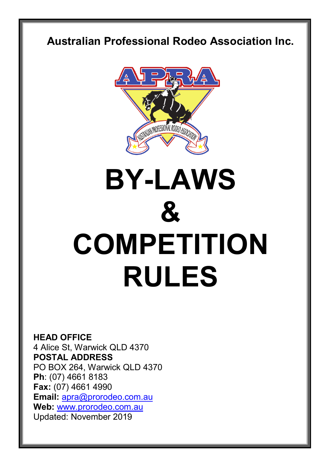# **Australian Professional Rodeo Association Inc.**



# **BY-LAWS & COMPETITION RULES**

**HEAD OFFICE** 4 Alice St, Warwick QLD 4370 **POSTAL ADDRESS** PO BOX 264, Warwick QLD 4370 **Ph**: (07) 4661 8183 **Fax:** (07) 4661 4990 **Email:** [apra@prorodeo.com.au](mailto:apra@prorodeo.com.au) **Web:** [www.prorodeo.com.au](http://www.prorodeo.com.au/) Updated: November 2019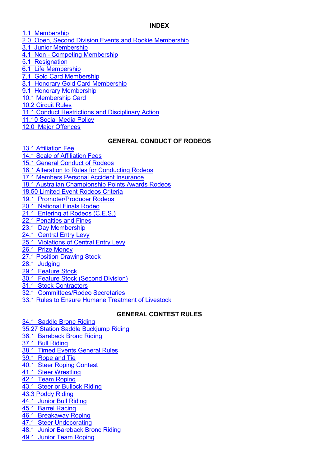#### **INDEX**

- [1.1 Membership](#page-2-0)
- [2.0 Open, Second Division Events and Rookie Membership](#page-3-0)
- [3.1 Junior Membership](#page-3-1)
- 4.1 Non [Competing Membership](#page-4-0)
- [5.1 Resignation](#page-4-1)
- [6.1 Life Membership](#page-4-2)
- [7.1 Gold Card Membership](#page-4-3)
- [8.1 Honorary Gold Card Membership](#page-5-0)
- [9.1 Honorary Membership](#page-5-1)
- [10.1 Membership Card](#page-5-2)
- [10.2 Circuit Rules](#page-5-3)
- [11.1 Conduct Restrictions and Disciplinary Action](#page-6-0)
- [11.10 Social Media Policy](#page-6-1)
- [12.0 Major Offences](#page-7-0)

#### **GENERAL CONDUCT OF RODEOS**

- [13.1 Affiliation Fee](#page-8-0)
- 14.1 Scale of Affiliation Fees
- [15.1 General Conduct of Rodeos](#page-8-2)
- [16.1 Alteration to Rules for Conducting Rodeos](#page-9-0)
- [17.1 Members Personal Accident Insurance](#page-9-1)
- [18.1 Australian Championship Points Awards Rodeos](#page-10-0)
- [18.50 Limited Event Rodeos Criteria](#page-11-0)
- [19.1 Promoter/Producer Rodeos](#page-11-1)
- [20.1 National Finals Rodeo](#page-11-2)
- [21.1 Entering at Rodeos \(C.E.S.\)](#page-13-0)
- [22.1 Penalties and Fines](#page-14-0)
- [23.1 Day Membership](#page-15-0)
- [24.1 Central Entry Levy](#page-15-1)
- [25.1 Violations of Central Entry Levy](#page-15-2)
- [26.1 Prize Money](#page-16-0)
- [27.1 Position Drawing Stock](#page-18-0)
- [28.1 Judging](#page-19-0)
- [29.1 Feature Stock](#page-21-0)
- [30.1 Feature Stock \(Second Division\)](#page-21-1)
- [31.1 Stock Contractors](#page-22-0)
- [32.1 Committees/Rodeo Secretaries](#page-23-0)
- [33.1 Rules to Ensure Humane Treatment of Livestock](#page-24-0)

# **GENERAL CONTEST RULES**

[34.1 Saddle Bronc Riding](#page-26-0) 35.27 Station [Saddle Buckjump Riding](#page-28-0) [36.1 Bareback Bronc Riding](#page-28-1) [37.1 Bull Riding](#page-30-0) [38.1 Timed Events General Rules](#page-31-0)  [39.1 Rope and Tie](#page-34-0) [40.1 Steer Roping Contest](#page-35-0) [41.1 Steer Wrestling](#page-36-0) [42.1 Team Roping](#page-37-0) [43.1 Steer or Bullock Riding](#page-39-0) [43.3 Poddy Riding](#page-39-1) [44.1 Junior Bull Riding](#page-39-2) [45.1 Barrel Racing](#page-39-3) [46.1 Breakaway Roping](#page-43-0) [47.1 Steer Undecorating](#page-43-1) [48.1 Junior Bareback Bronc Riding](#page-43-2) [49.1 Junior Team Roping](#page-44-0)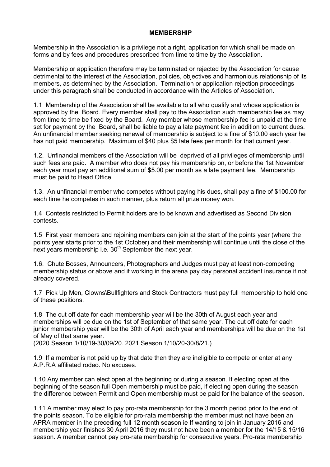#### **MEMBERSHIP**

<span id="page-2-0"></span>Membership in the Association is a privilege not a right, application for which shall be made on forms and by fees and procedures prescribed from time to time by the Association.

Membership or application therefore may be terminated or rejected by the Association for cause detrimental to the interest of the Association, policies, objectives and harmonious relationship of its members, as determined by the Association. Termination or application rejection proceedings under this paragraph shall be conducted in accordance with the Articles of Association.

1.1 Membership of the Association shall be available to all who qualify and whose application is approved by the Board. Every member shall pay to the Association such membership fee as may from time to time be fixed by the Board. Any member whose membership fee is unpaid at the time set for payment by the Board, shall be liable to pay a late payment fee in addition to current dues. An unfinancial member seeking renewal of membership is subject to a fine of \$10.00 each year he has not paid membership. Maximum of \$40 plus \$5 late fees per month for that current year.

1.2. Unfinancial members of the Association will be deprived of all privileges of membership until such fees are paid. A member who does not pay his membership on, or before the 1st November each year must pay an additional sum of \$5.00 per month as a late payment fee. Membership must be paid to Head Office.

1.3. An unfinancial member who competes without paying his dues, shall pay a fine of \$100.00 for each time he competes in such manner, plus return all prize money won.

1.4 Contests restricted to Permit holders are to be known and advertised as Second Division contests.

1.5 First year members and rejoining members can join at the start of the points year (where the points year starts prior to the 1st October) and their membership will continue until the close of the next years membership i.e.  $30<sup>th</sup>$  September the next year.

1.6. Chute Bosses, Announcers, Photographers and Judges must pay at least non-competing membership status or above and if working in the arena pay day personal accident insurance if not already covered.

1.7 Pick Up Men, Clowns\Bullfighters and Stock Contractors must pay full membership to hold one of these positions.

1.8 The cut off date for each membership year will be the 30th of August each year and memberships will be due on the 1st of September of that same year. The cut off date for each junior membership year will be the 30th of April each year and memberships will be due on the 1st of May of that same year.

(2020 Season 1/10/19-30/09/20. 2021 Season 1/10/20-30/8/21.)

1.9 If a member is not paid up by that date then they are ineligible to compete or enter at any A.P.R.A affiliated rodeo. No excuses.

1.10 Any member can elect open at the beginning or during a season. If electing open at the beginning of the season full Open membership must be paid, if electing open during the season the difference between Permit and Open membership must be paid for the balance of the season.

1.11 A member may elect to pay pro-rata membership for the 3 month period prior to the end of the points season. To be eligible for pro-rata membership the member must not have been an APRA member in the preceding full 12 month season ie If wanting to join in January 2016 and membership year finishes 30 April 2016 they must not have been a member for the 14/15 & 15/16 season. A member cannot pay pro-rata membership for consecutive years. Pro-rata membership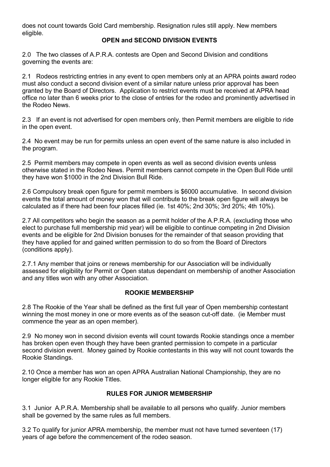<span id="page-3-0"></span>does not count towards Gold Card membership. Resignation rules still apply. New members eligible.

# **OPEN and SECOND DIVISION EVENTS**

2.0 The two classes of A.P.R.A. contests are Open and Second Division and conditions governing the events are:

2.1 Rodeos restricting entries in any event to open members only at an APRA points award rodeo must also conduct a second division event of a similar nature unless prior approval has been granted by the Board of Directors. Application to restrict events must be received at APRA head office no later than 6 weeks prior to the close of entries for the rodeo and prominently advertised in the Rodeo News.

2.3 If an event is not advertised for open members only, then Permit members are eligible to ride in the open event.

2.4 No event may be run for permits unless an open event of the same nature is also included in the program.

2.5 Permit members may compete in open events as well as second division events unless otherwise stated in the Rodeo News. Permit members cannot compete in the Open Bull Ride until they have won \$1000 in the 2nd Division Bull Ride.

2.6 Compulsory break open figure for permit members is \$6000 accumulative. In second division events the total amount of money won that will contribute to the break open figure will always be calculated as if there had been four places filled (ie. 1st 40%; 2nd 30%; 3rd 20%; 4th 10%).

2.7 All competitors who begin the season as a permit holder of the A.P.R.A. (excluding those who elect to purchase full membership mid year) will be eligible to continue competing in 2nd Division events and be eligible for 2nd Division bonuses for the remainder of that season providing that they have applied for and gained written permission to do so from the Board of Directors (conditions apply).

2.7.1 Any member that joins or renews membership for our Association will be individually assessed for eligibility for Permit or Open status dependant on membership of another Association and any titles won with any other Association.

## **ROOKIE MEMBERSHIP**

2.8 The Rookie of the Year shall be defined as the first full year of Open membership contestant winning the most money in one or more events as of the season cut-off date. (ie Member must commence the year as an open member).

2.9 No money won in second division events will count towards Rookie standings once a member has broken open even though they have been granted permission to compete in a particular second division event. Money gained by Rookie contestants in this way will not count towards the Rookie Standings.

2.10 Once a member has won an open APRA Australian National Championship, they are no longer eligible for any Rookie Titles.

# **RULES FOR JUNIOR MEMBERSHIP**

<span id="page-3-1"></span>3.1 Junior A.P.R.A. Membership shall be available to all persons who qualify. Junior members shall be governed by the same rules as full members.

3.2 To qualify for junior APRA membership, the member must not have turned seventeen (17) years of age before the commencement of the rodeo season.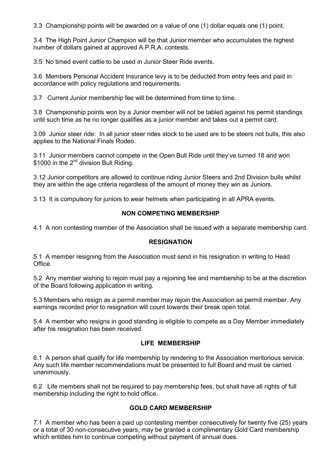3.3 Championship points will be awarded on a value of one (1) dollar equals one (1) point.

3.4 The High Point Junior Champion will be that Junior member who accumulates the highest number of dollars gained at approved A.P.R.A. contests.

3.5 No timed event cattle to be used in Junior Steer Ride events.

3.6 Members Personal Accident Insurance levy is to be deducted from entry fees and paid in accordance with policy regulations and requirements.

3.7 Current Junior membership fee will be determined from time to time.

3.8 Championship points won by a Junior member will not be tabled against his permit standings until such time as he no longer qualifies as a junior member and takes out a permit card.

3.09 Junior steer ride: In all junior steer rides stock to be used are to be steers not bulls, this also applies to the National Finals Rodeo.

3.11 Junior members cannot compete in the Open Bull Ride until they've turned 18 and won \$1000 in the  $2^{nd}$  division Bull Riding.

3.12 Junior competitors are allowed to continue riding Junior Steers and 2nd Division bulls whilst they are within the age criteria regardless of the amount of money they win as Juniors.

<span id="page-4-0"></span>3.13 It is compulsory for juniors to wear helmets when participating in all APRA events.

#### **NON COMPETING MEMBERSHIP**

<span id="page-4-1"></span>4.1 A non contesting member of the Association shall be issued with a separate membership card.

#### **RESIGNATION**

5.1 A member resigning from the Association must send in his resignation in writing to Head **Office** 

5.2 Any member wishing to rejoin must pay a rejoining fee and membership to be at the discretion of the Board following application in writing.

5.3 Members who resign as a permit member may rejoin the Association as permit member. Any earnings recorded prior to resignation will count towards their break open total.

5.4 A member who resigns in good standing is eligible to compete as a Day Member immediately after his resignation has been received.

#### **LIFE MEMBERSHIP**

<span id="page-4-2"></span>6.1 A person shall qualify for life membership by rendering to the Association meritorious service. Any such life member recommendations must be presented to full Board and must be carried unanimously.

6.2 Life members shall not be required to pay membership fees, but shall have all rights of full membership including the right to hold office.

#### **GOLD CARD MEMBERSHIP**

<span id="page-4-3"></span>7.1 A member who has been a paid up contesting member consecutively for twenty five (25) years or a total of 30 non-consecutive years, may be granted a complimentary Gold Card membership which entitles him to continue competing without payment of annual dues.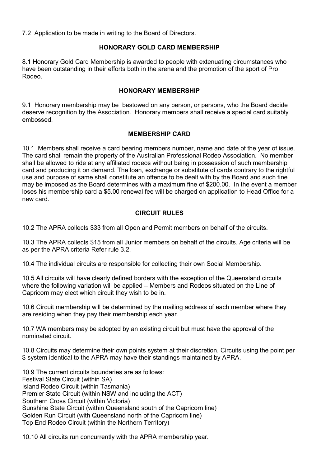7.2 Application to be made in writing to the Board of Directors.

# **HONORARY GOLD CARD MEMBERSHIP**

<span id="page-5-0"></span>8.1 Honorary Gold Card Membership is awarded to people with extenuating circumstances who have been outstanding in their efforts both in the arena and the promotion of the sport of Pro Rodeo.

# **HONORARY MEMBERSHIP**

<span id="page-5-1"></span>9.1 Honorary membership may be bestowed on any person, or persons, who the Board decide deserve recognition by the Association. Honorary members shall receive a special card suitably embossed.

# **MEMBERSHIP CARD**

<span id="page-5-2"></span>10.1 Members shall receive a card bearing members number, name and date of the year of issue. The card shall remain the property of the Australian Professional Rodeo Association. No member shall be allowed to ride at any affiliated rodeos without being in possession of such membership card and producing it on demand. The loan, exchange or substitute of cards contrary to the rightful use and purpose of same shall constitute an offence to be dealt with by the Board and such fine may be imposed as the Board determines with a maximum fine of \$200.00. In the event a member loses his membership card a \$5.00 renewal fee will be charged on application to Head Office for a new card.

## **CIRCUIT RULES**

<span id="page-5-3"></span>10.2 The APRA collects \$33 from all Open and Permit members on behalf of the circuits.

10.3 The APRA collects \$15 from all Junior members on behalf of the circuits. Age criteria will be as per the APRA criteria Refer rule 3.2.

10.4 The individual circuits are responsible for collecting their own Social Membership.

10.5 All circuits will have clearly defined borders with the exception of the Queensland circuits where the following variation will be applied – Members and Rodeos situated on the Line of Capricorn may elect which circuit they wish to be in.

10.6 Circuit membership will be determined by the mailing address of each member where they are residing when they pay their membership each year.

10.7 WA members may be adopted by an existing circuit but must have the approval of the nominated circuit.

10.8 Circuits may determine their own points system at their discretion. Circuits using the point per \$ system identical to the APRA may have their standings maintained by APRA.

10.9 The current circuits boundaries are as follows: Festival State Circuit (within SA) Island Rodeo Circuit (within Tasmania) Premier State Circuit (within NSW and including the ACT) Southern Cross Circuit (within Victoria) Sunshine State Circuit (within Queensland south of the Capricorn line) Golden Run Circuit (with Queensland north of the Capricorn line) Top End Rodeo Circuit (within the Northern Territory)

10.10 All circuits run concurrently with the APRA membership year.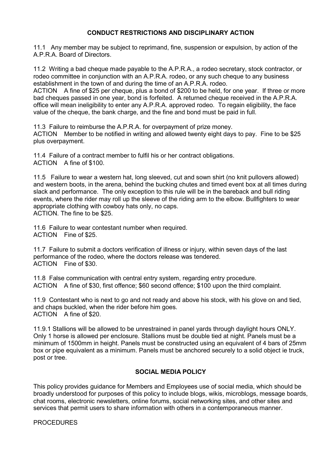#### **CONDUCT RESTRICTIONS AND DISCIPLINARY ACTION**

<span id="page-6-0"></span>11.1 Any member may be subject to reprimand, fine, suspension or expulsion, by action of the A.P.R.A. Board of Directors.

11.2 Writing a bad cheque made payable to the A.P.R.A., a rodeo secretary, stock contractor, or rodeo committee in conjunction with an A.P.R.A. rodeo, or any such cheque to any business establishment in the town of and during the time of an A.P.R.A. rodeo.

ACTION A fine of \$25 per cheque, plus a bond of \$200 to be held, for one year. If three or more bad cheques passed in one year, bond is forfeited. A returned cheque received in the A.P.R.A. office will mean ineligibility to enter any A.P.R.A. approved rodeo. To regain eligibility, the face value of the cheque, the bank charge, and the fine and bond must be paid in full.

11.3 Failure to reimburse the A.P.R.A. for overpayment of prize money. ACTION Member to be notified in writing and allowed twenty eight days to pay. Fine to be \$25 plus overpayment.

11.4 Failure of a contract member to fulfil his or her contract obligations. ACTION A fine of \$100.

11.5 Failure to wear a western hat, long sleeved, cut and sown shirt (no knit pullovers allowed) and western boots, in the arena, behind the bucking chutes and timed event box at all times during slack and performance. The only exception to this rule will be in the bareback and bull riding events, where the rider may roll up the sleeve of the riding arm to the elbow. Bullfighters to wear appropriate clothing with cowboy hats only, no caps. ACTION. The fine to be \$25.

11.6 Failure to wear contestant number when required. ACTION Fine of \$25.

11.7 Failure to submit a doctors verification of illness or injury, within seven days of the last performance of the rodeo, where the doctors release was tendered. ACTION Fine of \$30.

11.8 False communication with central entry system, regarding entry procedure. ACTION A fine of \$30, first offence; \$60 second offence; \$100 upon the third complaint.

11.9 Contestant who is next to go and not ready and above his stock, with his glove on and tied, and chaps buckled, when the rider before him goes. ACTION A fine of \$20.

11.9.1 Stallions will be allowed to be unrestrained in panel yards through daylight hours ONLY. Only 1 horse is allowed per enclosure. Stallions must be double tied at night. Panels must be a minimum of 1500mm in height. Panels must be constructed using an equivalent of 4 bars of 25mm box or pipe equivalent as a minimum. Panels must be anchored securely to a solid object ie truck, post or tree.

# **SOCIAL MEDIA POLICY**

<span id="page-6-1"></span>This policy provides guidance for Members and Employees use of social media, which should be broadly understood for purposes of this policy to include blogs, wikis, microblogs, message boards, chat rooms, electronic newsletters, online forums, social networking sites, and other sites and services that permit users to share information with others in a contemporaneous manner.

#### PROCEDURES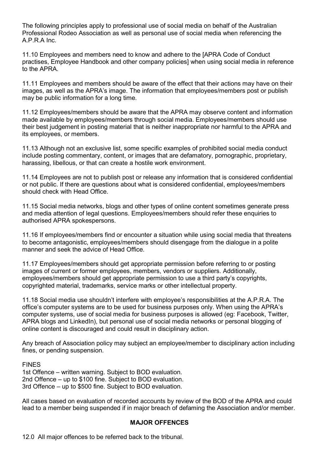The following principles apply to professional use of social media on behalf of the Australian Professional Rodeo Association as well as personal use of social media when referencing the A.P.R.A Inc.

11.10 Employees and members need to know and adhere to the [APRA Code of Conduct practises, Employee Handbook and other company policies] when using social media in reference to the APRA.

11.11 Employees and members should be aware of the effect that their actions may have on their images, as well as the APRA's image. The information that employees/members post or publish may be public information for a long time.

11.12 Employees/members should be aware that the APRA may observe content and information made available by employees/members through social media. Employees/members should use their best judgement in posting material that is neither inappropriate nor harmful to the APRA and its employees, or members.

11.13 Although not an exclusive list, some specific examples of prohibited social media conduct include posting commentary, content, or images that are defamatory, pornographic, proprietary, harassing, libellous, or that can create a hostile work environment.

11.14 Employees are not to publish post or release any information that is considered confidential or not public. If there are questions about what is considered confidential, employees/members should check with Head Office.

11.15 Social media networks, blogs and other types of online content sometimes generate press and media attention of legal questions. Employees/members should refer these enquiries to authorised APRA spokespersons.

11.16 If employees/members find or encounter a situation while using social media that threatens to become antagonistic, employees/members should disengage from the dialogue in a polite manner and seek the advice of Head Office.

11.17 Employees/members should get appropriate permission before referring to or posting images of current or former employees, members, vendors or suppliers. Additionally, employees/members should get appropriate permission to use a third party's copyrights, copyrighted material, trademarks, service marks or other intellectual property.

11.18 Social media use shouldn't interfere with employee's responsibilities at the A.P.R.A. The office's computer systems are to be used for business purposes only. When using the APRA's computer systems, use of social media for business purposes is allowed (eg: Facebook, Twitter, APRA blogs and LinkedIn), but personal use of social media networks or personal blogging of online content is discouraged and could result in disciplinary action.

Any breach of Association policy may subject an employee/member to disciplinary action including fines, or pending suspension.

FINES 1st Offence – written warning. Subject to BOD evaluation. 2nd Offence – up to \$100 fine. Subject to BOD evaluation. 3rd Offence – up to \$500 fine. Subject to BOD evaluation.

All cases based on evaluation of recorded accounts by review of the BOD of the APRA and could lead to a member being suspended if in major breach of defaming the Association and/or member.

## **MAJOR OFFENCES**

<span id="page-7-0"></span>12.0 All major offences to be referred back to the tribunal.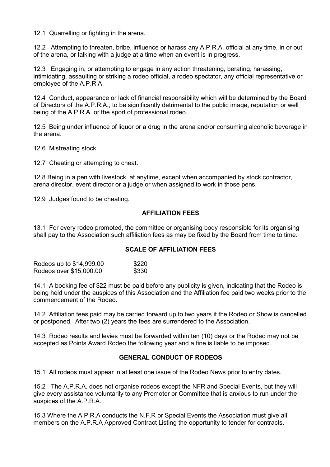12.1 Quarrelling or fighting in the arena.

12.2 Attempting to threaten, bribe, influence or harass any A.P.R.A. official at any time, in or out of the arena, or talking with a judge at a time when an event is in progress.

12.3 Engaging in, or attempting to engage in any action threatening, berating, harassing, intimidating, assaulting or striking a rodeo official, a rodeo spectator, any official representative or employee of the A.P.R.A.

12.4 Conduct, appearance or lack of financial responsibility which will be determined by the Board of Directors of the A.P.R.A., to be significantly detrimental to the public image, reputation or well being of the A.P.R.A. or the sport of professional rodeo.

12.5 Being under influence of liquor or a drug in the arena and/or consuming alcoholic beverage in the arena.

12.6 Mistreating stock.

12.7 Cheating or attempting to cheat.

12.8 Being in a pen with livestock, at anytime, except when accompanied by stock contractor, arena director, event director or a judge or when assigned to work in those pens.

<span id="page-8-0"></span>12.9 Judges found to be cheating.

#### **AFFILIATION FEES**

13.1 For every rodeo promoted, the committee or organising body responsible for its organising shall pay to the Association such affiliation fees as may be fixed by the Board from time to time.

# **SCALE OF AFFILIATION FEES**

<span id="page-8-1"></span>

| Rodeos up to \$14,999.00 | \$220 |
|--------------------------|-------|
| Rodeos over \$15,000.00  | \$330 |

14.1 A booking fee of \$22 must be paid before any publicity is given, indicating that the Rodeo is being held under the auspices of this Association and the Affiliation fee paid two weeks prior to the commencement of the Rodeo.

14.2 Affiliation fees paid may be carried forward up to two years if the Rodeo or Show is cancelled or postponed. After two (2) years the fees are surrendered to the Association.

<span id="page-8-2"></span>14.3 Rodeo results and levies must be forwarded within ten (10) days or the Rodeo may not be accepted as Points Award Rodeo the following year and a fine is liable to be imposed.

#### **GENERAL CONDUCT OF RODEOS**

15.1 All rodeos must appear in at least one issue of the Rodeo News prior to entry dates.

15.2 The A.P.R.A. does not organise rodeos except the NFR and Special Events, but they will give every assistance voluntarily to any Promoter or Committee that is anxious to run under the auspices of the A.P.R.A.

15.3 Where the A.P.R.A conducts the N.F.R or Special Events the Association must give all members on the A.P.R.A Approved Contract Listing the opportunity to tender for contracts.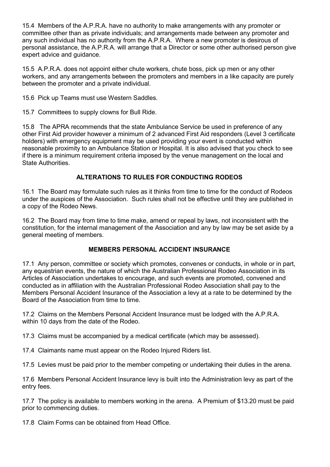15.4 Members of the A.P.R.A. have no authority to make arrangements with any promoter or committee other than as private individuals; and arrangements made between any promoter and any such individual has no authority from the A.P.R.A. Where a new promoter is desirous of personal assistance, the A.P.R.A. will arrange that a Director or some other authorised person give expert advice and guidance.

15.5 A.P.R.A. does not appoint either chute workers, chute boss, pick up men or any other workers, and any arrangements between the promoters and members in a like capacity are purely between the promoter and a private individual.

15.6 Pick up Teams must use Western Saddles.

15.7 Committees to supply clowns for Bull Ride.

15.8 The APRA recommends that the state Ambulance Service be used in preference of any other First Aid provider however a minimum of 2 advanced First Aid responders (Level 3 certificate holders) with emergency equipment may be used providing your event is conducted within reasonable proximity to an Ambulance Station or Hospital. It is also advised that you check to see if there is a minimum requirement criteria imposed by the venue management on the local and State Authorities.

# **ALTERATIONS TO RULES FOR CONDUCTING RODEOS**

<span id="page-9-0"></span>16.1 The Board may formulate such rules as it thinks from time to time for the conduct of Rodeos under the auspices of the Association. Such rules shall not be effective until they are published in a copy of the Rodeo News.

16.2 The Board may from time to time make, amend or repeal by laws, not inconsistent with the constitution, for the internal management of the Association and any by law may be set aside by a general meeting of members.

# **MEMBERS PERSONAL ACCIDENT INSURANCE**

<span id="page-9-1"></span>17.1 Any person, committee or society which promotes, convenes or conducts, in whole or in part, any equestrian events, the nature of which the Australian Professional Rodeo Association in its Articles of Association undertakes to encourage, and such events are promoted, convened and conducted as in affiliation with the Australian Professional Rodeo Association shall pay to the Members Personal Accident Insurance of the Association a levy at a rate to be determined by the Board of the Association from time to time.

17.2 Claims on the Members Personal Accident Insurance must be lodged with the A.P.R.A. within 10 days from the date of the Rodeo.

17.3 Claims must be accompanied by a medical certificate (which may be assessed).

17.4 Claimants name must appear on the Rodeo Injured Riders list.

17.5 Levies must be paid prior to the member competing or undertaking their duties in the arena.

17.6 Members Personal Accident Insurance levy is built into the Administration levy as part of the entry fees.

17.7 The policy is available to members working in the arena. A Premium of \$13.20 must be paid prior to commencing duties.

17.8 Claim Forms can be obtained from Head Office.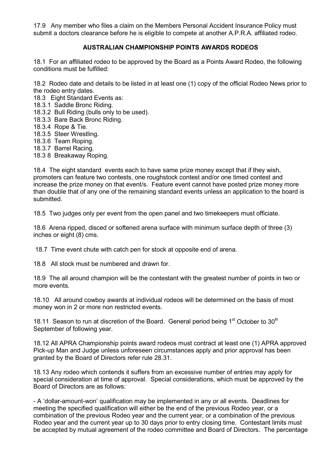17.9 Any member who files a claim on the Members Personal Accident Insurance Policy must submit a doctors clearance before he is eligible to compete at another A.P.R.A. affiliated rodeo.

# **AUSTRALIAN CHAMPIONSHIP POINTS AWARDS RODEOS**

<span id="page-10-0"></span>18.1 For an affiliated rodeo to be approved by the Board as a Points Award Rodeo, the following conditions must be fulfilled:

18.2 Rodeo date and details to be listed in at least one (1) copy of the official Rodeo News prior to the rodeo entry dates.

- 18.3 Eight Standard Events as:
- 18.3.1 Saddle Bronc Riding.
- 18.3.2 Bull Riding (bulls only to be used).
- 18.3.3 Bare Back Bronc Riding.
- 18.3.4 Rope & Tie.
- 18.3.5 Steer Wrestling.
- 18.3.6 Team Roping.
- 18.3.7 Barrel Racing.
- 18.3 8 Breakaway Roping.

18.4 The eight standard events each to have same prize money except that if they wish, promoters can feature two contests, one roughstock contest and/or one timed contest and increase the prize money on that event/s. Feature event cannot have posted prize money more than double that of any one of the remaining standard events unless an application to the board is submitted.

18.5 Two judges only per event from the open panel and two timekeepers must officiate.

18.6 Arena ripped, disced or softened arena surface with minimum surface depth of three (3) inches or eight (8) cms.

18.7 Time event chute with catch pen for stock at opposite end of arena.

18.8 All stock must be numbered and drawn for.

18.9 The all around champion will be the contestant with the greatest number of points in two or more events.

18.10 All around cowboy awards at individual rodeos will be determined on the basis of most money won in 2 or more non restricted events.

18.11 Season to run at discretion of the Board. General period being 1<sup>st</sup> October to 30<sup>th</sup> September of following year.

18.12 All APRA Championship points award rodeos must contract at least one (1) APRA approved Pick-up Man and Judge unless unforeseen circumstances apply and prior approval has been granted by the Board of Directors refer rule 28.31.

18.13 Any rodeo which contends it suffers from an excessive number of entries may apply for special consideration at time of approval. Special considerations, which must be approved by the Board of Directors are as follows:

- A 'dollar-amount-won' qualification may be implemented in any or all events. Deadlines for meeting the specified qualification will either be the end of the previous Rodeo year, or a combination of the previous Rodeo year and the current year, or a combination of the previous Rodeo year and the current year up to 30 days prior to entry closing time. Contestant limits must be accepted by mutual agreement of the rodeo committee and Board of Directors. The percentage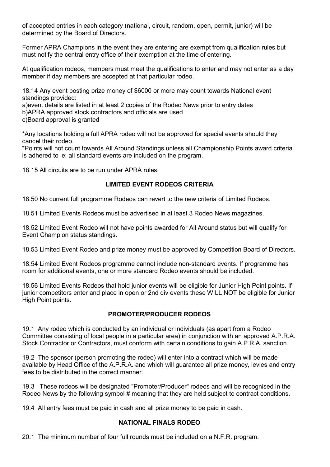of accepted entries in each category (national, circuit, random, open, permit, junior) will be determined by the Board of Directors.

Former APRA Champions in the event they are entering are exempt from qualification rules but must notify the central entry office of their exemption at the time of entering.

At qualification rodeos, members must meet the qualifications to enter and may not enter as a day member if day members are accepted at that particular rodeo.

18.14 Any event posting prize money of \$6000 or more may count towards National event standings provided:

a)event details are listed in at least 2 copies of the Rodeo News prior to entry dates

b)APRA approved stock contractors and officials are used

c)Board approval is granted

\*Any locations holding a full APRA rodeo will not be approved for special events should they cancel their rodeo.

\*Points will not count towards All Around Standings unless all Championship Points award criteria is adhered to ie: all standard events are included on the program.

<span id="page-11-0"></span>18.15 All circuits are to be run under APRA rules.

## **LIMITED EVENT RODEOS CRITERIA**

18.50 No current full programme Rodeos can revert to the new criteria of Limited Rodeos.

18.51 Limited Events Rodeos must be advertised in at least 3 Rodeo News magazines.

18.52 Limited Event Rodeo will not have points awarded for All Around status but will qualify for Event Champion status standings.

18.53 Limited Event Rodeo and prize money must be approved by Competition Board of Directors.

18.54 Limited Event Rodeos programme cannot include non-standard events. If programme has room for additional events, one or more standard Rodeo events should be included.

18.56 Limited Events Rodeos that hold junior events will be eligible for Junior High Point points. If junior competitors enter and place in open or 2nd div events these WILL NOT be eligible for Junior High Point points.

# **PROMOTER/PRODUCER RODEOS**

<span id="page-11-1"></span>19.1 Any rodeo which is conducted by an individual or individuals (as apart from a Rodeo Committee consisting of local people in a particular area) in conjunction with an approved A.P.R.A. Stock Contractor or Contractors, must conform with certain conditions to gain A.P.R.A. sanction.

19.2 The sponsor (person promoting the rodeo) will enter into a contract which will be made available by Head Office of the A.P.R.A. and which will guarantee all prize money, levies and entry fees to be distributed in the correct manner.

19.3 These rodeos will be designated "Promoter/Producer" rodeos and will be recognised in the Rodeo News by the following symbol # meaning that they are held subject to contract conditions.

<span id="page-11-2"></span>19.4 All entry fees must be paid in cash and all prize money to be paid in cash.

# **NATIONAL FINALS RODEO**

20.1 The minimum number of four full rounds must be included on a N.F.R. program.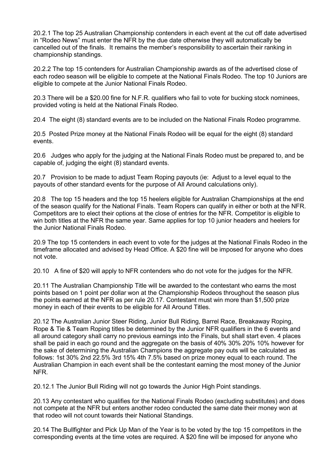20.2.1 The top 25 Australian Championship contenders in each event at the cut off date advertised in "Rodeo News" must enter the NFR by the due date otherwise they will automatically be cancelled out of the finals. It remains the member's responsibility to ascertain their ranking in championship standings.

20.2.2 The top 15 contenders for Australian Championship awards as of the advertised close of each rodeo season will be eligible to compete at the National Finals Rodeo. The top 10 Juniors are eligible to compete at the Junior National Finals Rodeo.

20.3 There will be a \$20.00 fine for N.F.R. qualifiers who fail to vote for bucking stock nominees provided voting is held at the National Finals Rodeo.

20.4 The eight (8) standard events are to be included on the National Finals Rodeo programme.

20.5 Posted Prize money at the National Finals Rodeo will be equal for the eight (8) standard events.

20.6 Judges who apply for the judging at the National Finals Rodeo must be prepared to, and be capable of, judging the eight (8) standard events.

20.7 Provision to be made to adjust Team Roping payouts (ie: Adjust to a level equal to the payouts of other standard events for the purpose of All Around calculations only).

20.8 The top 15 headers and the top 15 heelers eligible for Australian Championships at the end of the season qualify for the National Finals. Team Ropers can qualify in either or both at the NFR. Competitors are to elect their options at the close of entries for the NFR. Competitor is eligible to win both titles at the NFR the same year. Same applies for top 10 junior headers and heelers for the Junior National Finals Rodeo.

20.9 The top 15 contenders in each event to vote for the judges at the National Finals Rodeo in the timeframe allocated and advised by Head Office. A \$20 fine will be imposed for anyone who does not vote.

20.10 A fine of \$20 will apply to NFR contenders who do not vote for the judges for the NFR.

20.11 The Australian Championship Title will be awarded to the contestant who earns the most points based on 1 point per dollar won at the Championship Rodeos throughout the season plus the points earned at the NFR as per rule 20.17. Contestant must win more than \$1,500 prize money in each of their events to be eligible for All Around Titles.

20.12 The Australian Junior Steer Riding, Junior Bull Riding, Barrel Race, Breakaway Roping, Rope & Tie & Team Roping titles be determined by the Junior NFR qualifiers in the 6 events and all around category shall carry no previous earnings into the Finals, but shall start even. 4 places shall be paid in each go round and the aggregate on the basis of 40% 30% 20% 10% however for the sake of determining the Australian Champions the aggregate pay outs will be calculated as follows: 1st 30% 2nd 22.5% 3rd 15% 4th 7.5% based on prize money equal to each round. The Australian Champion in each event shall be the contestant earning the most money of the Junior NFR.

20.12.1 The Junior Bull Riding will not go towards the Junior High Point standings.

20.13 Any contestant who qualifies for the National Finals Rodeo (excluding substitutes) and does not compete at the NFR but enters another rodeo conducted the same date their money won at that rodeo will not count towards their National Standings.

20.14 The Bullfighter and Pick Up Man of the Year is to be voted by the top 15 competitors in the corresponding events at the time votes are required. A \$20 fine will be imposed for anyone who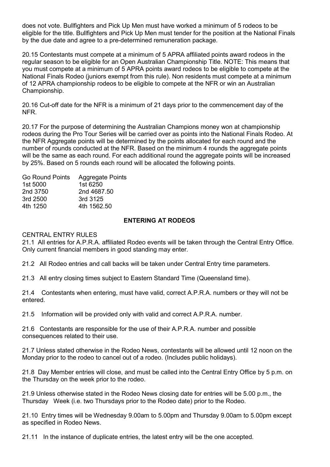does not vote. Bullfighters and Pick Up Men must have worked a minimum of 5 rodeos to be eligible for the title. Bullfighters and Pick Up Men must tender for the position at the National Finals by the due date and agree to a pre-determined remuneration package.

20.15 Contestants must compete at a minimum of 5 APRA affiliated points award rodeos in the regular season to be eligible for an Open Australian Championship Title. NOTE: This means that you must compete at a minimum of 5 APRA points award rodeos to be eligible to compete at the National Finals Rodeo (juniors exempt from this rule). Non residents must compete at a minimum of 12 APRA championship rodeos to be eligible to compete at the NFR or win an Australian Championship.

20.16 Cut-off date for the NFR is a minimum of 21 days prior to the commencement day of the NFR.

20.17 For the purpose of determining the Australian Champions money won at championship rodeos during the Pro Tour Series will be carried over as points into the National Finals Rodeo. At the NFR Aggregate points will be determined by the points allocated for each round and the number of rounds conducted at the NFR. Based on the minimum 4 rounds the aggregate points will be the same as each round. For each additional round the aggregate points will be increased by 25%. Based on 5 rounds each round will be allocated the following points.

| <b>Go Round Points</b> | <b>Aggregate Points</b> |
|------------------------|-------------------------|
| 1st 5000               | 1st 6250                |
| 2nd 3750               | 2nd 4687.50             |
| 3rd 2500               | 3rd 3125                |
| 4th 1250               | 4th 1562.50             |
|                        |                         |

# **ENTERING AT RODEOS**

#### <span id="page-13-0"></span>CENTRAL ENTRY RULES

21.1 All entries for A.P.R.A. affiliated Rodeo events will be taken through the Central Entry Office. Only current financial members in good standing may enter.

21.2 All Rodeo entries and call backs will be taken under Central Entry time parameters.

21.3 All entry closing times subject to Eastern Standard Time (Queensland time).

21.4 Contestants when entering, must have valid, correct A.P.R.A. numbers or they will not be entered.

21.5 Information will be provided only with valid and correct A.P.R.A. number.

21.6 Contestants are responsible for the use of their A.P.R.A. number and possible consequences related to their use.

21.7 Unless stated otherwise in the Rodeo News, contestants will be allowed until 12 noon on the Monday prior to the rodeo to cancel out of a rodeo. (Includes public holidays).

21.8 Day Member entries will close, and must be called into the Central Entry Office by 5 p.m. on the Thursday on the week prior to the rodeo.

21.9 Unless otherwise stated in the Rodeo News closing date for entries will be 5.00 p.m., the Thursday Week (i.e. two Thursdays prior to the Rodeo date) prior to the Rodeo.

21.10 Entry times will be Wednesday 9.00am to 5.00pm and Thursday 9.00am to 5.00pm except as specified in Rodeo News.

21.11 In the instance of duplicate entries, the latest entry will be the one accepted.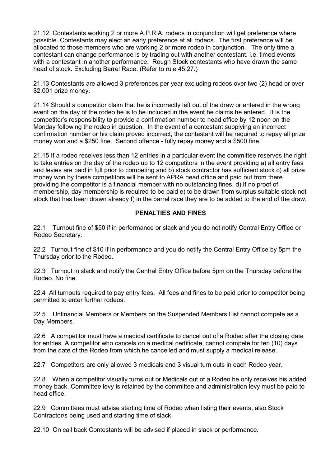21.12 Contestants working 2 or more A.P.R.A. rodeos in conjunction will get preference where possible. Contestants may elect an early preference at all rodeos. The first preference will be allocated to those members who are working 2 or more rodeo in conjunction. The only time a contestant can change performance is by trading out with another contestant. i.e. timed events with a contestant in another performance. Rough Stock contestants who have drawn the same head of stock. Excluding Barrel Race. (Refer to rule 45.27.)

21.13 Contestants are allowed 3 preferences per year excluding rodeos over two (2) head or over \$2,001 prize money.

21.14 Should a competitor claim that he is incorrectly left out of the draw or entered in the wrong event on the day of the rodeo he is to be included in the event he claims he entered. It is the competitor's responsibility to provide a confirmation number to head office by 12 noon on the Monday following the rodeo in question. In the event of a contestant supplying an incorrect confirmation number or his claim proved incorrect, the contestant will be required to repay all prize money won and a \$250 fine. Second offence - fully repay money and a \$500 fine.

21.15 If a rodeo receives less than 12 entries in a particular event the committee reserves the right to take entries on the day of the rodeo up to 12 competitors in the event providing a) all entry fees and levies are paid in full prior to competing and b) stock contractor has sufficient stock c) all prize money won by these competitors will be sent to APRA head office and paid out from there providing the competitor is a financial member with no outstanding fines. d) If no proof of membership, day membership is required to be paid e) to be drawn from surplus suitable stock not stock that has been drawn already f) in the barrel race they are to be added to the end of the draw.

## **PENALTIES AND FINES**

<span id="page-14-0"></span>22.1 Turnout fine of \$50 if in performance or slack and you do not notify Central Entry Office or Rodeo Secretary.

22.2 Turnout fine of \$10 if in performance and you do notify the Central Entry Office by 5pm the Thursday prior to the Rodeo.

22.3 Turnout in slack and notify the Central Entry Office before 5pm on the Thursday before the Rodeo. No fine.

22.4 All turnouts required to pay entry fees. All fees and fines to be paid prior to competitor being permitted to enter further rodeos.

22.5 Unfinancial Members or Members on the Suspended Members List cannot compete as a Day Members.

22.6 A competitor must have a medical certificate to cancel out of a Rodeo after the closing date for entries. A competitor who cancels on a medical certificate, cannot compete for ten (10) days from the date of the Rodeo from which he cancelled and must supply a medical release.

22.7 Competitors are only allowed 3 medicals and 3 visual turn outs in each Rodeo year.

22.8 When a competitor visually turns out or Medicals out of a Rodeo he only receives his added money back. Committee levy is retained by the committee and administration levy must be paid to head office.

22.9 Committees must advise starting time of Rodeo when listing their events, also Stock Contractor/s being used and starting time of slack.

22.10 On call back Contestants will be advised if placed in slack or performance.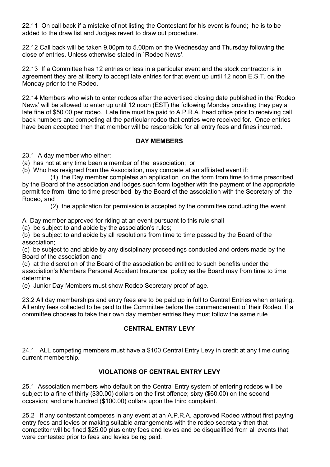22.11 On call back if a mistake of not listing the Contestant for his event is found; he is to be added to the draw list and Judges revert to draw out procedure.

22.12 Call back will be taken 9.00pm to 5.00pm on the Wednesday and Thursday following the close of entries. Unless otherwise stated in `Rodeo News'.

22.13 If a Committee has 12 entries or less in a particular event and the stock contractor is in agreement they are at liberty to accept late entries for that event up until 12 noon E.S.T. on the Monday prior to the Rodeo.

22.14 Members who wish to enter rodeos after the advertised closing date published in the 'Rodeo News' will be allowed to enter up until 12 noon (EST) the following Monday providing they pay a late fine of \$50.00 per rodeo. Late fine must be paid to A.P.R.A. head office prior to receiving call back numbers and competing at the particular rodeo that entries were received for. Once entries have been accepted then that member will be responsible for all entry fees and fines incurred.

## **DAY MEMBERS**

<span id="page-15-0"></span>23.1 A day member who either:

- (a) has not at any time been a member of the association; or
- (b) Who has resigned from the Association, may compete at an affiliated event if:

(1) the Day member completes an application on the form from time to time prescribed by the Board of the association and lodges such form together with the payment of the appropriate permit fee from time to time prescribed by the Board of the association with the Secretary of the Rodeo, and

(2) the application for permission is accepted by the committee conducting the event.

A Day member approved for riding at an event pursuant to this rule shall

(a) be subject to and abide by the association's rules;

(b) be subject to and abide by all resolutions from time to time passed by the Board of the association;

(c) be subject to and abide by any disciplinary proceedings conducted and orders made by the Board of the association and

(d) at the discretion of the Board of the association be entitled to such benefits under the association's Members Personal Accident Insurance policy as the Board may from time to time determine.

(e) Junior Day Members must show Rodeo Secretary proof of age.

23.2 All day memberships and entry fees are to be paid up in full to Central Entries when entering. All entry fees collected to be paid to the Committee before the commencement of their Rodeo. If a committee chooses to take their own day member entries they must follow the same rule.

# **CENTRAL ENTRY LEVY**

<span id="page-15-1"></span>24.1 ALL competing members must have a \$100 Central Entry Levy in credit at any time during current membership.

# **VIOLATIONS OF CENTRAL ENTRY LEVY**

<span id="page-15-2"></span>25.1 Association members who default on the Central Entry system of entering rodeos will be subject to a fine of thirty (\$30.00) dollars on the first offence; sixty (\$60.00) on the second occasion; and one hundred (\$100.00) dollars upon the third complaint.

25.2 If any contestant competes in any event at an A.P.R.A. approved Rodeo without first paying entry fees and levies or making suitable arrangements with the rodeo secretary then that competitor will be fined \$25.00 plus entry fees and levies and be disqualified from all events that were contested prior to fees and levies being paid.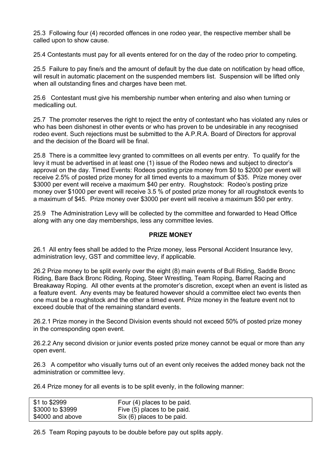25.3 Following four (4) recorded offences in one rodeo year, the respective member shall be called upon to show cause.

25.4 Contestants must pay for all events entered for on the day of the rodeo prior to competing.

25.5 Failure to pay fine/s and the amount of default by the due date on notification by head office, will result in automatic placement on the suspended members list. Suspension will be lifted only when all outstanding fines and charges have been met.

25.6 Contestant must give his membership number when entering and also when turning or medicalling out.

25.7 The promoter reserves the right to reject the entry of contestant who has violated any rules or who has been dishonest in other events or who has proven to be undesirable in any recognised rodeo event. Such rejections must be submitted to the A.P.R.A. Board of Directors for approval and the decision of the Board will be final.

25.8 There is a committee levy granted to committees on all events per entry. To qualify for the levy it must be advertised in at least one (1) issue of the Rodeo news and subject to director's approval on the day. Timed Events: Rodeos posting prize money from \$0 to \$2000 per event will receive 2.5% of posted prize money for all timed events to a maximum of \$35. Prize money over \$3000 per event will receive a maximum \$40 per entry. Roughstock: Rodeo's posting prize money over \$1000 per event will receive 3.5 % of posted prize money for all roughstock events to a maximum of \$45. Prize money over \$3000 per event will receive a maximum \$50 per entry.

25.9 The Administration Levy will be collected by the committee and forwarded to Head Office along with any one day memberships, less any committee levies.

#### **PRIZE MONEY**

<span id="page-16-0"></span>26.1 All entry fees shall be added to the Prize money, less Personal Accident Insurance levy, administration levy, GST and committee levy, if applicable.

26.2 Prize money to be split evenly over the eight (8) main events of Bull Riding, Saddle Bronc Riding, Bare Back Bronc Riding, Roping, Steer Wrestling, Team Roping, Barrel Racing and Breakaway Roping. All other events at the promoter's discretion, except when an event is listed as a feature event. Any events may be featured however should a committee elect two events then one must be a roughstock and the other a timed event. Prize money in the feature event not to exceed double that of the remaining standard events.

26.2.1 Prize money in the Second Division events should not exceed 50% of posted prize money in the corresponding open event.

26.2.2 Any second division or junior events posted prize money cannot be equal or more than any open event.

26.3 A competitor who visually turns out of an event only receives the added money back not the administration or committee levy.

26.4 Prize money for all events is to be split evenly, in the following manner:

| \$1 to \$2999    | Four (4) places to be paid. |
|------------------|-----------------------------|
| \$3000 to \$3999 | Five (5) places to be paid. |
| \$4000 and above | Six (6) places to be paid.  |

26.5 Team Roping payouts to be double before pay out splits apply.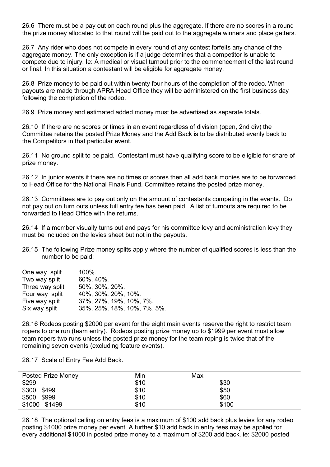26.6 There must be a pay out on each round plus the aggregate. If there are no scores in a round the prize money allocated to that round will be paid out to the aggregate winners and place getters.

26.7 Any rider who does not compete in every round of any contest forfeits any chance of the aggregate money. The only exception is if a judge determines that a competitor is unable to compete due to injury. Ie: A medical or visual turnout prior to the commencement of the last round or final. In this situation a contestant will be eligible for aggregate money.

26.8 Prize money to be paid out within twenty four hours of the completion of the rodeo. When payouts are made through APRA Head Office they will be administered on the first business day following the completion of the rodeo.

26.9 Prize money and estimated added money must be advertised as separate totals.

26.10 If there are no scores or times in an event regardless of division (open, 2nd div) the Committee retains the posted Prize Money and the Add Back is to be distributed evenly back to the Competitors in that particular event.

26.11 No ground split to be paid. Contestant must have qualifying score to be eligible for share of prize money.

26.12 In junior events if there are no times or scores then all add back monies are to be forwarded to Head Office for the National Finals Fund. Committee retains the posted prize money.

26.13 Committees are to pay out only on the amount of contestants competing in the events. Do not pay out on turn outs unless full entry fee has been paid. A list of turnouts are required to be forwarded to Head Office with the returns.

26.14 If a member visually turns out and pays for his committee levy and administration levy they must be included on the levies sheet but not in the payouts.

26.15 The following Prize money splits apply where the number of qualified scores is less than the number to be paid:

| One way split   | $100\%$ .                   |
|-----------------|-----------------------------|
| Two way split   | 60%, 40%.                   |
| Three way split | 50%, 30%, 20%.              |
| Four way split  | 40%, 30%, 20%, 10%.         |
| Five way split  | 37%, 27%, 19%, 10%, 7%.     |
| Six way split   | 35%, 25%, 18%, 10%, 7%, 5%. |

26.16 Rodeos posting \$2000 per event for the eight main events reserve the right to restrict team ropers to one run (team entry). Rodeos posting prize money up to \$1999 per event must allow team ropers two runs unless the posted prize money for the team roping is twice that of the remaining seven events (excluding feature events).

26.17 Scale of Entry Fee Add Back.

| Posted Prize Money | Min  | Max   |
|--------------------|------|-------|
| \$299              | \$10 | \$30  |
| \$300<br>\$499     | \$10 | \$50  |
| \$500 \$999        | \$10 | \$60  |
| \$1000 \$1499      | \$10 | \$100 |

26.18 The optional ceiling on entry fees is a maximum of \$100 add back plus levies for any rodeo posting \$1000 prize money per event. A further \$10 add back in entry fees may be applied for every additional \$1000 in posted prize money to a maximum of \$200 add back. ie: \$2000 posted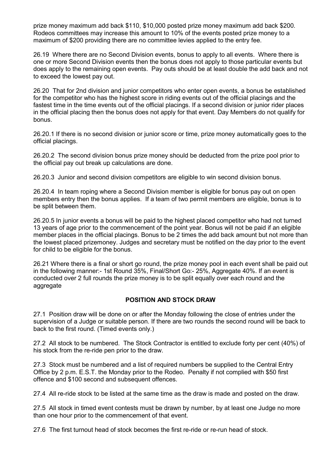prize money maximum add back \$110, \$10,000 posted prize money maximum add back \$200. Rodeos committees may increase this amount to 10% of the events posted prize money to a maximum of \$200 providing there are no committee levies applied to the entry fee.

26.19 Where there are no Second Division events, bonus to apply to all events. Where there is one or more Second Division events then the bonus does not apply to those particular events but does apply to the remaining open events. Pay outs should be at least double the add back and not to exceed the lowest pay out.

26.20 That for 2nd division and junior competitors who enter open events, a bonus be established for the competitor who has the highest score in riding events out of the official placings and the fastest time in the time events out of the official placings. If a second division or junior rider places in the official placing then the bonus does not apply for that event. Day Members do not qualify for bonus.

26.20.1 If there is no second division or junior score or time, prize money automatically goes to the official placings.

26.20.2 The second division bonus prize money should be deducted from the prize pool prior to the official pay out break up calculations are done.

26.20.3 Junior and second division competitors are eligible to win second division bonus.

26.20.4 In team roping where a Second Division member is eligible for bonus pay out on open members entry then the bonus applies. If a team of two permit members are eligible, bonus is to be split between them.

26.20.5 In junior events a bonus will be paid to the highest placed competitor who had not turned 13 years of age prior to the commencement of the point year. Bonus will not be paid if an eligible member places in the official placings. Bonus to be 2 times the add back amount but not more than the lowest placed prizemoney. Judges and secretary must be notified on the day prior to the event for child to be eligible for the bonus.

26.21 Where there is a final or short go round, the prize money pool in each event shall be paid out in the following manner:- 1st Round 35%, Final/Short Go:- 25%, Aggregate 40%. If an event is conducted over 2 full rounds the prize money is to be split equally over each round and the aggregate

## **POSITION AND STOCK DRAW**

<span id="page-18-0"></span>27.1 Position draw will be done on or after the Monday following the close of entries under the supervision of a Judge or suitable person. If there are two rounds the second round will be back to back to the first round. (Timed events only.)

27.2 All stock to be numbered. The Stock Contractor is entitled to exclude forty per cent (40%) of his stock from the re-ride pen prior to the draw.

27.3 Stock must be numbered and a list of required numbers be supplied to the Central Entry Office by 2 p.m. E.S.T. the Monday prior to the Rodeo. Penalty if not complied with \$50 first offence and \$100 second and subsequent offences.

27.4 All re-ride stock to be listed at the same time as the draw is made and posted on the draw.

27.5 All stock in timed event contests must be drawn by number, by at least one Judge no more than one hour prior to the commencement of that event.

27.6 The first turnout head of stock becomes the first re-ride or re-run head of stock.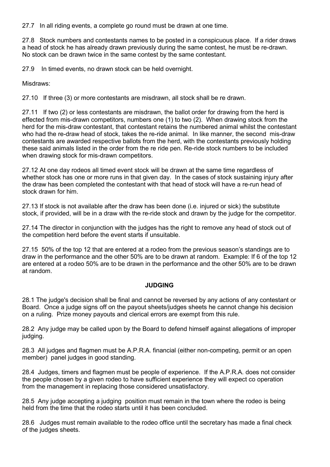27.7 In all riding events, a complete go round must be drawn at one time.

27.8 Stock numbers and contestants names to be posted in a conspicuous place. If a rider draws a head of stock he has already drawn previously during the same contest, he must be re-drawn. No stock can be drawn twice in the same contest by the same contestant.

27.9 In timed events, no drawn stock can be held overnight.

Misdraws:

27.10 If three (3) or more contestants are misdrawn, all stock shall be re drawn.

27.11 If two (2) or less contestants are misdrawn, the ballot order for drawing from the herd is effected from mis-drawn competitors, numbers one (1) to two (2). When drawing stock from the herd for the mis-draw contestant, that contestant retains the numbered animal whilst the contestant who had the re-draw head of stock, takes the re-ride animal. In like manner, the second mis-draw contestants are awarded respective ballots from the herd, with the contestants previously holding these said animals listed in the order from the re ride pen. Re-ride stock numbers to be included when drawing stock for mis-drawn competitors.

27.12 At one day rodeos all timed event stock will be drawn at the same time regardless of whether stock has one or more runs in that given day. In the cases of stock sustaining injury after the draw has been completed the contestant with that head of stock will have a re-run head of stock drawn for him.

27.13 If stock is not available after the draw has been done (i.e. injured or sick) the substitute stock, if provided, will be in a draw with the re-ride stock and drawn by the judge for the competitor.

27.14 The director in conjunction with the judges has the right to remove any head of stock out of the competition herd before the event starts if unsuitable.

27.15 50% of the top 12 that are entered at a rodeo from the previous season's standings are to draw in the performance and the other 50% are to be drawn at random. Example: If 6 of the top 12 are entered at a rodeo 50% are to be drawn in the performance and the other 50% are to be drawn at random.

#### **JUDGING**

<span id="page-19-0"></span>28.1 The judge's decision shall be final and cannot be reversed by any actions of any contestant or Board. Once a judge signs off on the payout sheets/judges sheets he cannot change his decision on a ruling. Prize money payouts and clerical errors are exempt from this rule.

28.2 Any judge may be called upon by the Board to defend himself against allegations of improper judging.

28.3 All judges and flagmen must be A.P.R.A. financial (either non-competing, permit or an open member) panel judges in good standing.

28.4 Judges, timers and flagmen must be people of experience. If the A.P.R.A. does not consider the people chosen by a given rodeo to have sufficient experience they will expect co operation from the management in replacing those considered unsatisfactory.

28.5 Any judge accepting a judging position must remain in the town where the rodeo is being held from the time that the rodeo starts until it has been concluded.

28.6 Judges must remain available to the rodeo office until the secretary has made a final check of the judges sheets.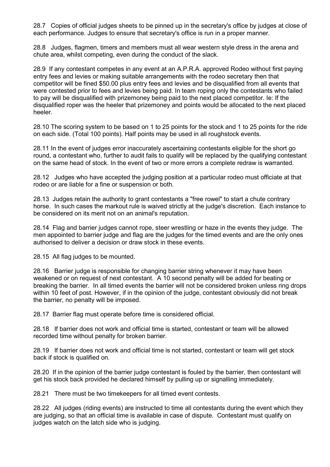28.7 Copies of official judges sheets to be pinned up in the secretary's office by judges at close of each performance. Judges to ensure that secretary's office is run in a proper manner.

28.8 Judges, flagmen, timers and members must all wear western style dress in the arena and chute area, whilst competing, even during the conduct of the slack.

28.9 If any contestant competes in any event at an A.P.R.A. approved Rodeo without first paying entry fees and levies or making suitable arrangements with the rodeo secretary then that competitor will be fined \$50.00 plus entry fees and levies and be disqualified from all events that were contested prior to fees and levies being paid. In team roping only the contestants who failed to pay will be disqualified with prizemoney being paid to the next placed competitor. Ie: If the disqualified roper was the heeler that prizemoney and points would be allocated to the next placed heeler.

28.10 The scoring system to be based on 1 to 25 points for the stock and 1 to 25 points for the ride on each side. (Total 100 points). Half points may be used in all roughstock events.

28.11 In the event of judges error inaccurately ascertaining contestants eligible for the short go round, a contestant who, further to audit fails to qualify will be replaced by the qualifying contestant on the same head of stock. In the event of two or more errors a complete redraw is warranted.

28.12 Judges who have accepted the judging position at a particular rodeo must officiate at that rodeo or are liable for a fine or suspension or both.

28.13 Judges retain the authority to grant contestants a "free rowel" to start a chute contrary horse. In such cases the markout rule is waived strictly at the judge's discretion. Each instance to be considered on its merit not on an animal's reputation.

28.14 Flag and barrier judges cannot rope, steer wrestling or haze in the events they judge. The men appointed to barrier judge and flag are the judges for the timed events and are the only ones authorised to deliver a decision or draw stock in these events.

28.15 All flag judges to be mounted.

28.16 Barrier judge is responsible for changing barrier string whenever it may have been weakened or on request of next contestant. A 10 second penalty will be added for beating or breaking the barrier. In all timed events the barrier will not be considered broken unless ring drops within 10 feet of post. However, if in the opinion of the judge, contestant obviously did not break the barrier, no penalty will be imposed.

28.17 Barrier flag must operate before time is considered official.

28.18 If barrier does not work and official time is started, contestant or team will be allowed recorded time without penalty for broken barrier.

28.19 If barrier does not work and official time is not started, contestant or team will get stock back if stock is qualified on.

28.20 If in the opinion of the barrier judge contestant is fouled by the barrier, then contestant will get his stock back provided he declared himself by pulling up or signalling immediately.

28.21 There must be two timekeepers for all timed event contests.

28.22 All judges (riding events) are instructed to time all contestants during the event which they are judging, so that an official time is available in case of dispute. Contestant must qualify on judges watch on the latch side who is judging.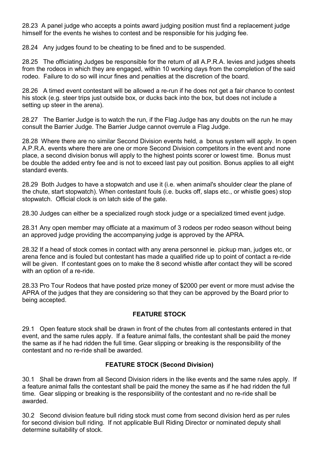28.23 A panel judge who accepts a points award judging position must find a replacement judge himself for the events he wishes to contest and be responsible for his judging fee.

28.24 Any judges found to be cheating to be fined and to be suspended.

28.25 The officiating Judges be responsible for the return of all A.P.R.A. levies and judges sheets from the rodeos in which they are engaged, within 10 working days from the completion of the said rodeo. Failure to do so will incur fines and penalties at the discretion of the board.

28.26 A timed event contestant will be allowed a re-run if he does not get a fair chance to contest his stock (e.g. steer trips just outside box, or ducks back into the box, but does not include a setting up steer in the arena).

28.27 The Barrier Judge is to watch the run, if the Flag Judge has any doubts on the run he may consult the Barrier Judge. The Barrier Judge cannot overrule a Flag Judge.

28.28 Where there are no similar Second Division events held, a bonus system will apply. In open A.P.R.A. events where there are one or more Second Division competitors in the event and none place, a second division bonus will apply to the highest points scorer or lowest time. Bonus must be double the added entry fee and is not to exceed last pay out position. Bonus applies to all eight standard events.

28.29 Both Judges to have a stopwatch and use it (i.e. when animal's shoulder clear the plane of the chute, start stopwatch). When contestant fouls (i.e. bucks off, slaps etc., or whistle goes) stop stopwatch. Official clock is on latch side of the gate.

28.30 Judges can either be a specialized rough stock judge or a specialized timed event judge.

28.31 Any open member may officiate at a maximum of 3 rodeos per rodeo season without being an approved judge providing the accompanying judge is approved by the APRA.

28.32 If a head of stock comes in contact with any arena personnel ie. pickup man, judges etc, or arena fence and is fouled but contestant has made a qualified ride up to point of contact a re-ride will be given. If contestant goes on to make the 8 second whistle after contact they will be scored with an option of a re-ride.

28.33 Pro Tour Rodeos that have posted prize money of \$2000 per event or more must advise the APRA of the judges that they are considering so that they can be approved by the Board prior to being accepted.

# **FEATURE STOCK**

<span id="page-21-0"></span>29.1 Open feature stock shall be drawn in front of the chutes from all contestants entered in that event, and the same rules apply. If a feature animal falls, the contestant shall be paid the money the same as if he had ridden the full time. Gear slipping or breaking is the responsibility of the contestant and no re-ride shall be awarded.

## **FEATURE STOCK (Second Division)**

<span id="page-21-1"></span>30.1 Shall be drawn from all Second Division riders in the like events and the same rules apply. If a feature animal falls the contestant shall be paid the money the same as if he had ridden the full time. Gear slipping or breaking is the responsibility of the contestant and no re-ride shall be awarded.

30.2 Second division feature bull riding stock must come from second division herd as per rules for second division bull riding. If not applicable Bull Riding Director or nominated deputy shall determine suitability of stock.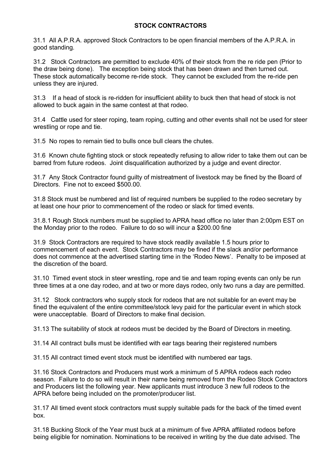# **STOCK CONTRACTORS**

<span id="page-22-0"></span>31.1 All A.P.R.A. approved Stock Contractors to be open financial members of the A.P.R.A. in good standing.

31.2 Stock Contractors are permitted to exclude 40% of their stock from the re ride pen (Prior to the draw being done). The exception being stock that has been drawn and then turned out. These stock automatically become re-ride stock. They cannot be excluded from the re-ride pen unless they are injured.

31.3 If a head of stock is re-ridden for insufficient ability to buck then that head of stock is not allowed to buck again in the same contest at that rodeo.

31.4 Cattle used for steer roping, team roping, cutting and other events shall not be used for steer wrestling or rope and tie.

31.5 No ropes to remain tied to bulls once bull clears the chutes.

31.6 Known chute fighting stock or stock repeatedly refusing to allow rider to take them out can be barred from future rodeos. Joint disqualification authorized by a judge and event director.

31.7 Any Stock Contractor found guilty of mistreatment of livestock may be fined by the Board of Directors. Fine not to exceed \$500.00.

31.8 Stock must be numbered and list of required numbers be supplied to the rodeo secretary by at least one hour prior to commencement of the rodeo or slack for timed events.

31.8.1 Rough Stock numbers must be supplied to APRA head office no later than 2:00pm EST on the Monday prior to the rodeo. Failure to do so will incur a \$200.00 fine

31.9 Stock Contractors are required to have stock readily available 1.5 hours prior to commencement of each event. Stock Contractors may be fined if the slack and/or performance does not commence at the advertised starting time in the 'Rodeo News'. Penalty to be imposed at the discretion of the board.

31.10 Timed event stock in steer wrestling, rope and tie and team roping events can only be run three times at a one day rodeo, and at two or more days rodeo, only two runs a day are permitted.

31.12 Stock contractors who supply stock for rodeos that are not suitable for an event may be fined the equivalent of the entire committee/stock levy paid for the particular event in which stock were unacceptable. Board of Directors to make final decision.

31.13 The suitability of stock at rodeos must be decided by the Board of Directors in meeting.

31.14 All contract bulls must be identified with ear tags bearing their registered numbers

31.15 All contract timed event stock must be identified with numbered ear tags.

31.16 Stock Contractors and Producers must work a minimum of 5 APRA rodeos each rodeo season. Failure to do so will result in their name being removed from the Rodeo Stock Contractors and Producers list the following year. New applicants must introduce 3 new full rodeos to the APRA before being included on the promoter/producer list.

31.17 All timed event stock contractors must supply suitable pads for the back of the timed event box.

31.18 Bucking Stock of the Year must buck at a minimum of five APRA affiliated rodeos before being eligible for nomination. Nominations to be received in writing by the due date advised. The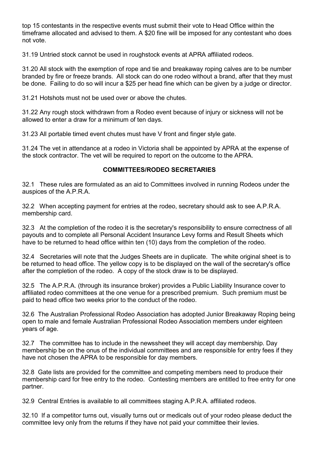top 15 contestants in the respective events must submit their vote to Head Office within the timeframe allocated and advised to them. A \$20 fine will be imposed for any contestant who does not vote.

31.19 Untried stock cannot be used in roughstock events at APRA affiliated rodeos.

31.20 All stock with the exemption of rope and tie and breakaway roping calves are to be number branded by fire or freeze brands. All stock can do one rodeo without a brand, after that they must be done. Failing to do so will incur a \$25 per head fine which can be given by a judge or director.

31.21 Hotshots must not be used over or above the chutes.

31.22 Any rough stock withdrawn from a Rodeo event because of injury or sickness will not be allowed to enter a draw for a minimum of ten days.

31.23 All portable timed event chutes must have V front and finger style gate.

31.24 The vet in attendance at a rodeo in Victoria shall be appointed by APRA at the expense of the stock contractor. The vet will be required to report on the outcome to the APRA.

## **COMMITTEES/RODEO SECRETARIES**

<span id="page-23-0"></span>32.1 These rules are formulated as an aid to Committees involved in running Rodeos under the auspices of the A.P.R.A.

32.2 When accepting payment for entries at the rodeo, secretary should ask to see A.P.R.A. membership card.

32.3 At the completion of the rodeo it is the secretary's responsibility to ensure correctness of all payouts and to complete all Personal Accident Insurance Levy forms and Result Sheets which have to be returned to head office within ten (10) days from the completion of the rodeo.

32.4 Secretaries will note that the Judges Sheets are in duplicate. The white original sheet is to be returned to head office. The yellow copy is to be displayed on the wall of the secretary's office after the completion of the rodeo. A copy of the stock draw is to be displayed.

32.5 The A.P.R.A. (through its insurance broker) provides a Public Liability Insurance cover to affiliated rodeo committees at the one venue for a prescribed premium. Such premium must be paid to head office two weeks prior to the conduct of the rodeo.

32.6 The Australian Professional Rodeo Association has adopted Junior Breakaway Roping being open to male and female Australian Professional Rodeo Association members under eighteen years of age.

32.7 The committee has to include in the newssheet they will accept day membership. Day membership be on the onus of the individual committees and are responsible for entry fees if they have not chosen the APRA to be responsible for day members.

32.8 Gate lists are provided for the committee and competing members need to produce their membership card for free entry to the rodeo. Contesting members are entitled to free entry for one partner.

32.9 Central Entries is available to all committees staging A.P.R.A. affiliated rodeos.

32.10 If a competitor turns out, visually turns out or medicals out of your rodeo please deduct the committee levy only from the returns if they have not paid your committee their levies.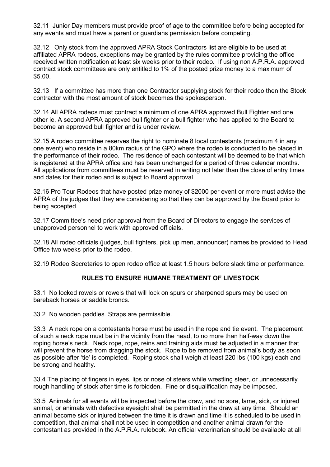32.11 Junior Day members must provide proof of age to the committee before being accepted for any events and must have a parent or guardians permission before competing.

32.12 Only stock from the approved APRA Stock Contractors list are eligible to be used at affiliated APRA rodeos, exceptions may be granted by the rules committee providing the office received written notification at least six weeks prior to their rodeo. If using non A.P.R.A. approved contract stock committees are only entitled to 1% of the posted prize money to a maximum of \$5.00.

32.13 If a committee has more than one Contractor supplying stock for their rodeo then the Stock contractor with the most amount of stock becomes the spokesperson.

32.14 All APRA rodeos must contract a minimum of one APRA approved Bull Fighter and one other ie. A second APRA approved bull fighter or a bull fighter who has applied to the Board to become an approved bull fighter and is under review.

32.15 A rodeo committee reserves the right to nominate 8 local contestants (maximum 4 in any one event) who reside in a 80km radius of the GPO where the rodeo is conducted to be placed in the performance of their rodeo. The residence of each contestant will be deemed to be that which is registered at the APRA office and has been unchanged for a period of three calendar months. All applications from committees must be reserved in writing not later than the close of entry times and dates for their rodeo and is subject to Board approval.

32.16 Pro Tour Rodeos that have posted prize money of \$2000 per event or more must advise the APRA of the judges that they are considering so that they can be approved by the Board prior to being accepted.

32.17 Committee's need prior approval from the Board of Directors to engage the services of unapproved personnel to work with approved officials.

32.18 All rodeo officials (judges, bull fighters, pick up men, announcer) names be provided to Head Office two weeks prior to the rodeo.

<span id="page-24-0"></span>32.19 Rodeo Secretaries to open rodeo office at least 1.5 hours before slack time or performance.

# **RULES TO ENSURE HUMANE TREATMENT OF LIVESTOCK**

33.1 No locked rowels or rowels that will lock on spurs or sharpened spurs may be used on bareback horses or saddle broncs.

33.2 No wooden paddles. Straps are permissible.

33.3 A neck rope on a contestants horse must be used in the rope and tie event. The placement of such a neck rope must be in the vicinity from the head, to no more than half-way down the roping horse's neck. Neck rope, rope, reins and training aids must be adjusted in a manner that will prevent the horse from dragging the stock. Rope to be removed from animal's body as soon as possible after 'tie' is completed. Roping stock shall weigh at least 220 lbs (100 kgs) each and be strong and healthy.

33.4 The placing of fingers in eyes, lips or nose of steers while wrestling steer, or unnecessarily rough handling of stock after time is forbidden. Fine or disqualification may be imposed.

33.5 Animals for all events will be inspected before the draw, and no sore, lame, sick, or injured animal, or animals with defective eyesight shall be permitted in the draw at any time. Should an animal become sick or injured between the time it is drawn and time it is scheduled to be used in competition, that animal shall not be used in competition and another animal drawn for the contestant as provided in the A.P.R.A. rulebook. An official veterinarian should be available at all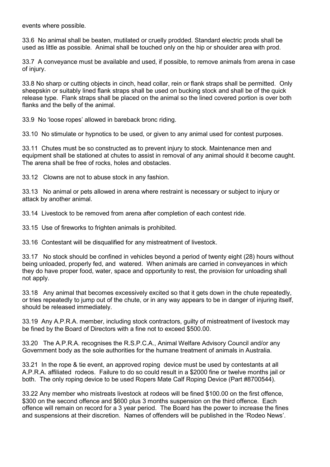events where possible.

33.6 No animal shall be beaten, mutilated or cruelly prodded. Standard electric prods shall be used as little as possible. Animal shall be touched only on the hip or shoulder area with prod.

33.7 A conveyance must be available and used, if possible, to remove animals from arena in case of injury.

33.8 No sharp or cutting objects in cinch, head collar, rein or flank straps shall be permitted. Only sheepskin or suitably lined flank straps shall be used on bucking stock and shall be of the quick release type. Flank straps shall be placed on the animal so the lined covered portion is over both flanks and the belly of the animal.

33.9 No 'loose ropes' allowed in bareback bronc riding.

33.10 No stimulate or hypnotics to be used, or given to any animal used for contest purposes.

33.11 Chutes must be so constructed as to prevent injury to stock. Maintenance men and equipment shall be stationed at chutes to assist in removal of any animal should it become caught. The arena shall be free of rocks, holes and obstacles.

33.12 Clowns are not to abuse stock in any fashion.

33.13 No animal or pets allowed in arena where restraint is necessary or subject to injury or attack by another animal.

33.14 Livestock to be removed from arena after completion of each contest ride.

33.15 Use of fireworks to frighten animals is prohibited.

33.16 Contestant will be disqualified for any mistreatment of livestock.

33.17 No stock should be confined in vehicles beyond a period of twenty eight (28) hours without being unloaded, properly fed, and watered. When animals are carried in conveyances in which they do have proper food, water, space and opportunity to rest, the provision for unloading shall not apply.

33.18 Any animal that becomes excessively excited so that it gets down in the chute repeatedly, or tries repeatedly to jump out of the chute, or in any way appears to be in danger of injuring itself, should be released immediately.

33.19 Any A.P.R.A. member, including stock contractors, guilty of mistreatment of livestock may be fined by the Board of Directors with a fine not to exceed \$500.00.

33.20 The A.P.R.A. recognises the R.S.P.C.A., Animal Welfare Advisory Council and/or any Government body as the sole authorities for the humane treatment of animals in Australia.

33.21 In the rope & tie event, an approved roping device must be used by contestants at all A.P.R.A. affiliated rodeos. Failure to do so could result in a \$2000 fine or twelve months jail or both. The only roping device to be used Ropers Mate Calf Roping Device (Part #8700544).

33.22 Any member who mistreats livestock at rodeos will be fined \$100.00 on the first offence, \$300 on the second offence and \$600 plus 3 months suspension on the third offence. Each offence will remain on record for a 3 year period. The Board has the power to increase the fines and suspensions at their discretion. Names of offenders will be published in the 'Rodeo News'.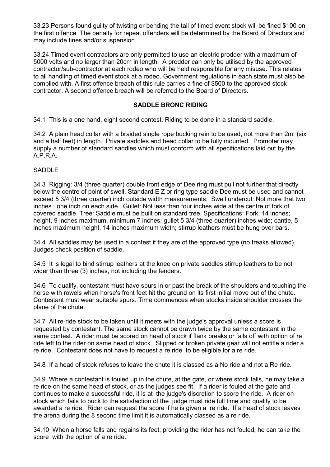33.23 Persons found guilty of twisting or bending the tail of timed event stock will be fined \$100 on the first offence. The penalty for repeat offenders will be determined by the Board of Directors and may include fines and/or suspension.

33.24 Timed event contractors are only permitted to use an electric prodder with a maximum of 5000 volts and no larger than 20cm in length. A prodder can only be utilised by the approved contractor/sub-contractor at each rodeo who will be held responsible for any misuse. This relates to all handling of timed event stock at a rodeo. Government regulations in each state must also be complied with. A first offence breach of this rule carries a fine of \$500 to the approved stock contractor. A second offence breach will be referred to the Board of Directors.

#### **SADDLE BRONC RIDING**

<span id="page-26-0"></span>34.1 This is a one hand, eight second contest. Riding to be done in a standard saddle.

34.2 A plain head collar with a braided single rope bucking rein to be used, not more than 2m (six and a half feet) in length. Private saddles and head collar to be fully mounted. Promoter may supply a number of standard saddles which must conform with all specifications laid out by the A.P.R.A.

#### SADDLE

34.3 Rigging: 3/4 (three quarter) double front edge of Dee ring must pull not further that directly below the centre of point of swell. Standard E Z or ring type saddle Dee must be used and cannot exceed 5 3/4 (three quarter) inch outside width measurements. Swell undercut: Not more that two inches one inch on each side. Gullet: Not less than four inches wide at the centre of fork of covered saddle. Tree: Saddle must be built on standard tree. Specifications: Fork, 14 inches; height, 9 inches maximum, minimum 7 inches; gullet 5 3/4 (three quarter) inches wide; cantle, 5 inches maximum height, 14 inches maximum width; stirrup leathers must be hung over bars.

34.4 All saddles may be used in a contest if they are of the approved type (no freaks allowed). Judges check position of saddle.

34.5 It is legal to bind stirrup leathers at the knee on private saddles stirrup leathers to be not wider than three (3) inches, not including the fenders.

34.6 To qualify, contestant must have spurs in or past the break of the shoulders and touching the horse with rowels when horse's front feet hit the ground on its first initial move out of the chute. Contestant must wear suitable spurs. Time commences when stocks inside shoulder crosses the plane of the chute.

34.7 All re-ride stock to be taken until it meets with the judge's approval unless a score is requested by contestant. The same stock cannot be drawn twice by the same contestant in the same contest. A rider must be scored on head of stock if flank breaks or falls off with option of re ride left to the rider on same head of stock. Slipped or broken private gear will not entitle a rider a re ride. Contestant does not have to request a re ride to be eligible for a re ride.

34.8 If a head of stock refuses to leave the chute it is classed as a No ride and not a Re ride.

34.9 Where a contestant is fouled up in the chute, at the gate, or where stock falls, he may take a re ride on the same head of stock, or as the judges see fit. If a rider is fouled at the gate and continues to make a successful ride, it is at the judge's discretion to score the ride. A rider on stock which fails to buck to the satisfaction of the judge must ride full time and qualify to be awarded a re ride. Rider can request the score if he is given a re ride. If a head of stock leaves the arena during the 8 second time limit it is automatically classed as a re ride.

34.10 When a horse falls and regains its feet; providing the rider has not fouled, he can take the score with the option of a re ride.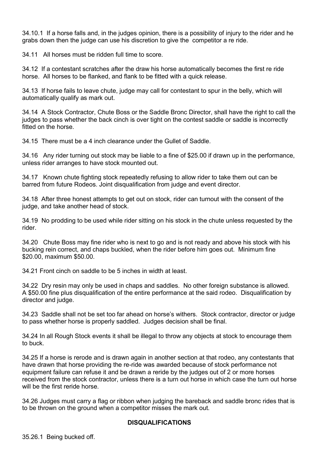34.10.1 If a horse falls and, in the judges opinion, there is a possibility of injury to the rider and he grabs down then the judge can use his discretion to give the competitor a re ride.

34.11 All horses must be ridden full time to score.

34.12 If a contestant scratches after the draw his horse automatically becomes the first re ride horse. All horses to be flanked, and flank to be fitted with a quick release.

34.13 If horse fails to leave chute, judge may call for contestant to spur in the belly, which will automatically qualify as mark out.

34.14 A Stock Contractor, Chute Boss or the Saddle Bronc Director, shall have the right to call the judges to pass whether the back cinch is over tight on the contest saddle or saddle is incorrectly fitted on the horse

34.15 There must be a 4 inch clearance under the Gullet of Saddle.

34.16 Any rider turning out stock may be liable to a fine of \$25.00 if drawn up in the performance, unless rider arranges to have stock mounted out.

34.17 Known chute fighting stock repeatedly refusing to allow rider to take them out can be barred from future Rodeos. Joint disqualification from judge and event director.

34.18 After three honest attempts to get out on stock, rider can turnout with the consent of the judge, and take another head of stock.

34.19 No prodding to be used while rider sitting on his stock in the chute unless requested by the rider.

34.20 Chute Boss may fine rider who is next to go and is not ready and above his stock with his bucking rein correct, and chaps buckled, when the rider before him goes out. Minimum fine \$20.00, maximum \$50.00.

34.21 Front cinch on saddle to be 5 inches in width at least.

34.22 Dry resin may only be used in chaps and saddles. No other foreign substance is allowed. A \$50.00 fine plus disqualification of the entire performance at the said rodeo. Disqualification by director and judge.

34.23 Saddle shall not be set too far ahead on horse's withers. Stock contractor, director or judge to pass whether horse is properly saddled. Judges decision shall be final.

34.24 In all Rough Stock events it shall be illegal to throw any objects at stock to encourage them to buck.

34.25 If a horse is rerode and is drawn again in another section at that rodeo, any contestants that have drawn that horse providing the re-ride was awarded because of stock performance not equipment failure can refuse it and be drawn a reride by the judges out of 2 or more horses received from the stock contractor, unless there is a turn out horse in which case the turn out horse will be the first reride horse.

34.26 Judges must carry a flag or ribbon when judging the bareback and saddle bronc rides that is to be thrown on the ground when a competitor misses the mark out.

#### **DISQUALIFICATIONS**

35.26.1 Being bucked off.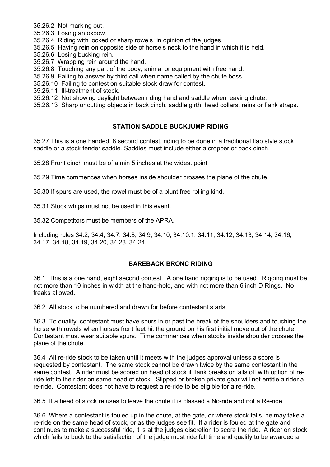- 35.26.2 Not marking out.
- 35.26.3 Losing an oxbow.
- 35.26.4 Riding with locked or sharp rowels, in opinion of the judges.
- 35.26.5 Having rein on opposite side of horse's neck to the hand in which it is held.
- 35.26.6 Losing bucking rein.
- 35.26.7 Wrapping rein around the hand.
- 35.26.8 Touching any part of the body, animal or equipment with free hand.
- 35.26.9 Failing to answer by third call when name called by the chute boss.
- 35.26.10 Failing to contest on suitable stock draw for contest.
- 35.26.11 Ill-treatment of stock.
- 35.26.12 Not showing daylight between riding hand and saddle when leaving chute.

35.26.13 Sharp or cutting objects in back cinch, saddle girth, head collars, reins or flank straps.

# **STATION SADDLE BUCKJUMP RIDING**

<span id="page-28-0"></span>35.27 This is a one handed, 8 second contest, riding to be done in a traditional flap style stock saddle or a stock fender saddle. Saddles must include either a cropper or back cinch.

35.28 Front cinch must be of a min 5 inches at the widest point

35.29 Time commences when horses inside shoulder crosses the plane of the chute.

35.30 If spurs are used, the rowel must be of a blunt free rolling kind.

35.31 Stock whips must not be used in this event.

35.32 Competitors must be members of the APRA.

Including rules 34.2, 34.4, 34.7, 34.8, 34.9, 34.10, 34.10.1, 34.11, 34.12, 34.13, 34.14, 34.16, 34.17, 34.18, 34.19, 34.20, 34.23, 34.24.

## **BAREBACK BRONC RIDING**

<span id="page-28-1"></span>36.1 This is a one hand, eight second contest. A one hand rigging is to be used. Rigging must be not more than 10 inches in width at the hand-hold, and with not more than 6 inch D Rings. No freaks allowed.

36.2 All stock to be numbered and drawn for before contestant starts.

36.3 To qualify, contestant must have spurs in or past the break of the shoulders and touching the horse with rowels when horses front feet hit the ground on his first initial move out of the chute. Contestant must wear suitable spurs. Time commences when stocks inside shoulder crosses the plane of the chute.

36.4 All re-ride stock to be taken until it meets with the judges approval unless a score is requested by contestant. The same stock cannot be drawn twice by the same contestant in the same contest. A rider must be scored on head of stock if flank breaks or falls off with option of reride left to the rider on same head of stock. Slipped or broken private gear will not entitle a rider a re-ride. Contestant does not have to request a re-ride to be eligible for a re-ride.

36.5 If a head of stock refuses to leave the chute it is classed a No-ride and not a Re-ride.

36.6 Where a contestant is fouled up in the chute, at the gate, or where stock falls, he may take a re-ride on the same head of stock, or as the judges see fit. If a rider is fouled at the gate and continues to make a successful ride, it is at the judges discretion to score the ride. A rider on stock which fails to buck to the satisfaction of the judge must ride full time and qualify to be awarded a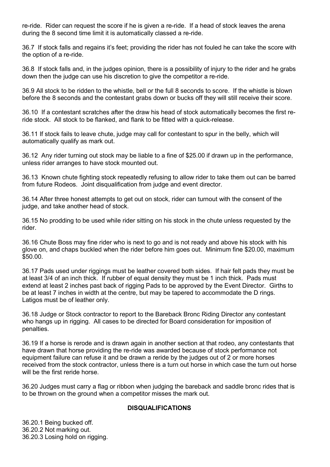re-ride. Rider can request the score if he is given a re-ride. If a head of stock leaves the arena during the 8 second time limit it is automatically classed a re-ride.

36.7 If stock falls and regains it's feet; providing the rider has not fouled he can take the score with the option of a re-ride.

36.8 If stock falls and, in the judges opinion, there is a possibility of injury to the rider and he grabs down then the judge can use his discretion to give the competitor a re-ride.

36.9 All stock to be ridden to the whistle, bell or the full 8 seconds to score. If the whistle is blown before the 8 seconds and the contestant grabs down or bucks off they will still receive their score.

36.10 If a contestant scratches after the draw his head of stock automatically becomes the first reride stock. All stock to be flanked, and flank to be fitted with a quick-release.

36.11 If stock fails to leave chute, judge may call for contestant to spur in the belly, which will automatically qualify as mark out.

36.12 Any rider turning out stock may be liable to a fine of \$25.00 if drawn up in the performance, unless rider arranges to have stock mounted out.

36.13 Known chute fighting stock repeatedly refusing to allow rider to take them out can be barred from future Rodeos. Joint disqualification from judge and event director.

36.14 After three honest attempts to get out on stock, rider can turnout with the consent of the judge, and take another head of stock.

36.15 No prodding to be used while rider sitting on his stock in the chute unless requested by the rider.

36.16 Chute Boss may fine rider who is next to go and is not ready and above his stock with his glove on, and chaps buckled when the rider before him goes out. Minimum fine \$20.00, maximum \$50.00.

36.17 Pads used under riggings must be leather covered both sides. If hair felt pads they must be at least 3/4 of an inch thick. If rubber of equal density they must be 1 inch thick. Pads must extend at least 2 inches past back of rigging Pads to be approved by the Event Director. Girths to be at least 7 inches in width at the centre, but may be tapered to accommodate the D rings. Latigos must be of leather only.

36.18 Judge or Stock contractor to report to the Bareback Bronc Riding Director any contestant who hangs up in rigging. All cases to be directed for Board consideration for imposition of penalties.

36.19 If a horse is rerode and is drawn again in another section at that rodeo, any contestants that have drawn that horse providing the re-ride was awarded because of stock performance not equipment failure can refuse it and be drawn a reride by the judges out of 2 or more horses received from the stock contractor, unless there is a turn out horse in which case the turn out horse will be the first reride horse.

36.20 Judges must carry a flag or ribbon when judging the bareback and saddle bronc rides that is to be thrown on the ground when a competitor misses the mark out.

#### **DISQUALIFICATIONS**

36.20.1 Being bucked off. 36.20.2 Not marking out. 36.20.3 Losing hold on rigging.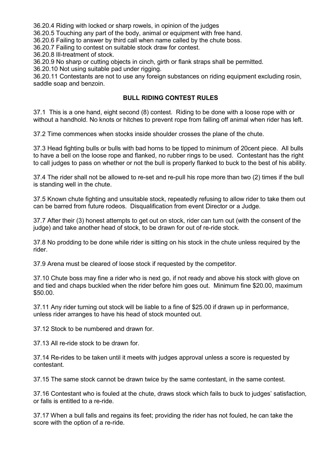36.20.4 Riding with locked or sharp rowels, in opinion of the judges

36.20.5 Touching any part of the body, animal or equipment with free hand.

36.20.6 Failing to answer by third call when name called by the chute boss.

36.20.7 Failing to contest on suitable stock draw for contest.

36.20.8 Ill-treatment of stock.

36.20.9 No sharp or cutting objects in cinch, girth or flank straps shall be permitted.

36.20.10 Not using suitable pad under rigging.

36.20.11 Contestants are not to use any foreign substances on riding equipment excluding rosin, saddle soap and benzoin.

# **BULL RIDING CONTEST RULES**

<span id="page-30-0"></span>37.1 This is a one hand, eight second (8) contest. Riding to be done with a loose rope with or without a handhold. No knots or hitches to prevent rope from falling off animal when rider has left.

37.2 Time commences when stocks inside shoulder crosses the plane of the chute.

37.3 Head fighting bulls or bulls with bad horns to be tipped to minimum of 20cent piece. All bulls to have a bell on the loose rope and flanked, no rubber rings to be used. Contestant has the right to call judges to pass on whether or not the bull is properly flanked to buck to the best of his ability.

37.4 The rider shall not be allowed to re-set and re-pull his rope more than two (2) times if the bull is standing well in the chute.

37.5 Known chute fighting and unsuitable stock, repeatedly refusing to allow rider to take them out can be barred from future rodeos. Disqualification from event Director or a Judge.

37.7 After their (3) honest attempts to get out on stock, rider can turn out (with the consent of the judge) and take another head of stock, to be drawn for out of re-ride stock.

37.8 No prodding to be done while rider is sitting on his stock in the chute unless required by the rider.

37.9 Arena must be cleared of loose stock if requested by the competitor.

37.10 Chute boss may fine a rider who is next go, if not ready and above his stock with glove on and tied and chaps buckled when the rider before him goes out. Minimum fine \$20.00, maximum \$50.00.

37.11 Any rider turning out stock will be liable to a fine of \$25.00 if drawn up in performance, unless rider arranges to have his head of stock mounted out.

37.12 Stock to be numbered and drawn for.

37.13 All re-ride stock to be drawn for.

37.14 Re-rides to be taken until it meets with judges approval unless a score is requested by contestant.

37.15 The same stock cannot be drawn twice by the same contestant, in the same contest.

37.16 Contestant who is fouled at the chute, draws stock which fails to buck to judges' satisfaction, or falls is entitled to a re-ride.

37.17 When a bull falls and regains its feet; providing the rider has not fouled, he can take the score with the option of a re-ride.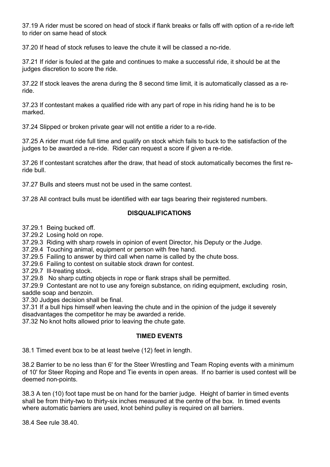37.19 A rider must be scored on head of stock if flank breaks or falls off with option of a re-ride left to rider on same head of stock

37.20 If head of stock refuses to leave the chute it will be classed a no-ride.

37.21 If rider is fouled at the gate and continues to make a successful ride, it should be at the judges discretion to score the ride.

37.22 If stock leaves the arena during the 8 second time limit, it is automatically classed as a reride.

37.23 If contestant makes a qualified ride with any part of rope in his riding hand he is to be marked.

37.24 Slipped or broken private gear will not entitle a rider to a re-ride.

37.25 A rider must ride full time and qualify on stock which fails to buck to the satisfaction of the judges to be awarded a re-ride. Rider can request a score if given a re-ride.

37.26 If contestant scratches after the draw, that head of stock automatically becomes the first reride bull.

37.27 Bulls and steers must not be used in the same contest.

37.28 All contract bulls must be identified with ear tags bearing their registered numbers.

#### **DISQUALIFICATIONS**

37.29.1 Being bucked off.

37.29.2 Losing hold on rope.

37.29.3 Riding with sharp rowels in opinion of event Director, his Deputy or the Judge.

37.29.4 Touching animal, equipment or person with free hand.

37.29.5 Failing to answer by third call when name is called by the chute boss.

37.29.6 Failing to contest on suitable stock drawn for contest.

37.29.7 Ill-treating stock.

37.29.8 No sharp cutting objects in rope or flank straps shall be permitted.

37.29.9 Contestant are not to use any foreign substance, on riding equipment, excluding rosin, saddle soap and benzoin.

37.30 Judges decision shall be final.

37.31 If a bull hips himself when leaving the chute and in the opinion of the judge it severely disadvantages the competitor he may be awarded a reride.

37.32 No knot holts allowed prior to leaving the chute gate.

#### **TIMED EVENTS**

<span id="page-31-0"></span>38.1 Timed event box to be at least twelve (12) feet in length.

38.2 Barrier to be no less than 6' for the Steer Wrestling and Team Roping events with a minimum of 10' for Steer Roping and Rope and Tie events in open areas. If no barrier is used contest will be deemed non-points.

38.3 A ten (10) foot tape must be on hand for the barrier judge. Height of barrier in timed events shall be from thirty-two to thirty-six inches measured at the centre of the box. In timed events where automatic barriers are used, knot behind pulley is required on all barriers.

38.4 See rule 38.40.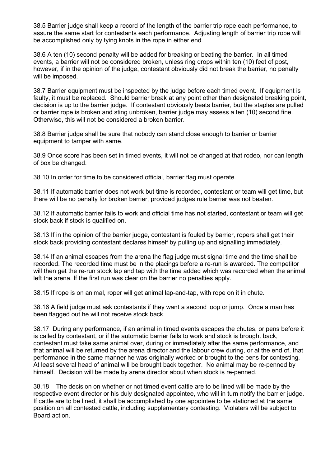38.5 Barrier judge shall keep a record of the length of the barrier trip rope each performance, to assure the same start for contestants each performance. Adjusting length of barrier trip rope will be accomplished only by tying knots in the rope in either end.

38.6 A ten (10) second penalty will be added for breaking or beating the barrier. In all timed events, a barrier will not be considered broken, unless ring drops within ten (10) feet of post, however, if in the opinion of the judge, contestant obviously did not break the barrier, no penalty will be imposed.

38.7 Barrier equipment must be inspected by the judge before each timed event. If equipment is faulty, it must be replaced. Should barrier break at any point other than designated breaking point decision is up to the barrier judge. If contestant obviously beats barrier, but the staples are pulled or barrier rope is broken and sting unbroken, barrier judge may assess a ten (10) second fine. Otherwise, this will not be considered a broken barrier.

38.8 Barrier judge shall be sure that nobody can stand close enough to barrier or barrier equipment to tamper with same.

38.9 Once score has been set in timed events, it will not be changed at that rodeo, nor can length of box be changed.

38.10 In order for time to be considered official, barrier flag must operate.

38.11 If automatic barrier does not work but time is recorded, contestant or team will get time, but there will be no penalty for broken barrier, provided judges rule barrier was not beaten.

38.12 If automatic barrier fails to work and official time has not started, contestant or team will get stock back if stock is qualified on.

38.13 If in the opinion of the barrier judge, contestant is fouled by barrier, ropers shall get their stock back providing contestant declares himself by pulling up and signalling immediately.

38.14 If an animal escapes from the arena the flag judge must signal time and the time shall be recorded. The recorded time must be in the placings before a re-run is awarded. The competitor will then get the re-run stock lap and tap with the time added which was recorded when the animal left the arena. If the first run was clear on the barrier no penalties apply.

38.15 If rope is on animal, roper will get animal lap-and-tap, with rope on it in chute.

38.16 A field judge must ask contestants if they want a second loop or jump. Once a man has been flagged out he will not receive stock back.

38.17 During any performance, if an animal in timed events escapes the chutes, or pens before it is called by contestant, or if the automatic barrier fails to work and stock is brought back, contestant must take same animal over, during or immediately after the same performance, and that animal will be returned by the arena director and the labour crew during, or at the end of, that performance in the same manner he was originally worked or brought to the pens for contesting. At least several head of animal will be brought back together. No animal may be re-penned by himself. Decision will be made by arena director about when stock is re-penned.

38.18 The decision on whether or not timed event cattle are to be lined will be made by the respective event director or his duly designated appointee, who will in turn notify the barrier judge. If cattle are to be lined, it shall be accomplished by one appointee to be stationed at the same position on all contested cattle, including supplementary contesting. Violaters will be subject to Board action.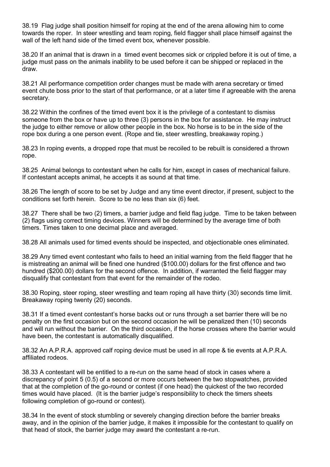38.19 Flag judge shall position himself for roping at the end of the arena allowing him to come towards the roper. In steer wrestling and team roping, field flagger shall place himself against the wall of the left hand side of the timed event box, whenever possible.

38.20 If an animal that is drawn in a timed event becomes sick or crippled before it is out of time, a judge must pass on the animals inability to be used before it can be shipped or replaced in the draw.

38.21 All performance competition order changes must be made with arena secretary or timed event chute boss prior to the start of that performance, or at a later time if agreeable with the arena secretary.

38.22 Within the confines of the timed event box it is the privilege of a contestant to dismiss someone from the box or have up to three (3) persons in the box for assistance. He may instruct the judge to either remove or allow other people in the box. No horse is to be in the side of the rope box during a one person event. (Rope and tie, steer wrestling, breakaway roping.)

38.23 In roping events, a dropped rope that must be recoiled to be rebuilt is considered a thrown rope.

38.25 Animal belongs to contestant when he calls for him, except in cases of mechanical failure. If contestant accepts animal, he accepts it as sound at that time.

38.26 The length of score to be set by Judge and any time event director, if present, subject to the conditions set forth herein. Score to be no less than six (6) feet.

38.27 There shall be two (2) timers, a barrier judge and field flag judge. Time to be taken between (2) flags using correct timing devices. Winners will be determined by the average time of both timers. Times taken to one decimal place and averaged.

38.28 All animals used for timed events should be inspected, and objectionable ones eliminated.

38.29 Any timed event contestant who fails to heed an initial warning from the field flagger that he is mistreating an animal will be fined one hundred (\$100.00) dollars for the first offence and two hundred (\$200.00) dollars for the second offence. In addition, if warranted the field flagger may disqualify that contestant from that event for the remainder of the rodeo.

38.30 Roping, steer roping, steer wrestling and team roping all have thirty (30) seconds time limit. Breakaway roping twenty (20) seconds.

38.31 If a timed event contestant's horse backs out or runs through a set barrier there will be no penalty on the first occasion but on the second occasion he will be penalized then (10) seconds and will run without the barrier. On the third occasion, if the horse crosses where the barrier would have been, the contestant is automatically disqualified.

38.32 An A.P.R.A. approved calf roping device must be used in all rope & tie events at A.P.R.A. affiliated rodeos.

38.33 A contestant will be entitled to a re-run on the same head of stock in cases where a discrepancy of point 5 (0.5) of a second or more occurs between the two stopwatches, provided that at the completion of the go-round or contest (if one head) the quickest of the two recorded times would have placed. (It is the barrier judge's responsibility to check the timers sheets following completion of go-round or contest).

38.34 In the event of stock stumbling or severely changing direction before the barrier breaks away, and in the opinion of the barrier judge, it makes it impossible for the contestant to qualify on that head of stock, the barrier judge may award the contestant a re-run.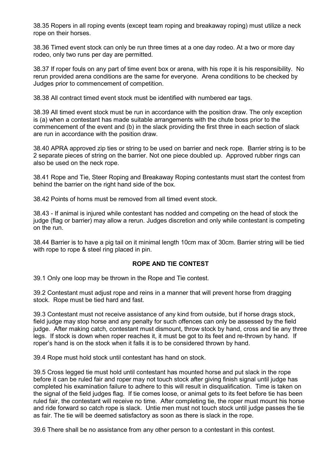38.35 Ropers in all roping events (except team roping and breakaway roping) must utilize a neck rope on their horses.

38.36 Timed event stock can only be run three times at a one day rodeo. At a two or more day rodeo, only two runs per day are permitted.

38.37 If roper fouls on any part of time event box or arena, with his rope it is his responsibility. No rerun provided arena conditions are the same for everyone. Arena conditions to be checked by Judges prior to commencement of competition.

38.38 All contract timed event stock must be identified with numbered ear tags.

38.39 All timed event stock must be run in accordance with the position draw. The only exception is (a) when a contestant has made suitable arrangements with the chute boss prior to the commencement of the event and (b) in the slack providing the first three in each section of slack are run in accordance with the position draw.

38.40 APRA approved zip ties or string to be used on barrier and neck rope. Barrier string is to be 2 separate pieces of string on the barrier. Not one piece doubled up. Approved rubber rings can also be used on the neck rope.

38.41 Rope and Tie, Steer Roping and Breakaway Roping contestants must start the contest from behind the barrier on the right hand side of the box.

38.42 Points of horns must be removed from all timed event stock.

38.43 - If animal is injured while contestant has nodded and competing on the head of stock the judge (flag or barrier) may allow a rerun. Judges discretion and only while contestant is competing on the run.

38.44 Barrier is to have a pig tail on it minimal length 10cm max of 30cm. Barrier string will be tied with rope to rope & steel ring placed in pin.

#### **ROPE AND TIE CONTEST**

<span id="page-34-0"></span>39.1 Only one loop may be thrown in the Rope and Tie contest.

39.2 Contestant must adjust rope and reins in a manner that will prevent horse from dragging stock. Rope must be tied hard and fast.

39.3 Contestant must not receive assistance of any kind from outside, but if horse drags stock, field judge may stop horse and any penalty for such offences can only be assessed by the field judge. After making catch, contestant must dismount, throw stock by hand, cross and tie any three legs. If stock is down when roper reaches it, it must be got to its feet and re-thrown by hand. If roper's hand is on the stock when it falls it is to be considered thrown by hand.

39.4 Rope must hold stock until contestant has hand on stock.

39.5 Cross legged tie must hold until contestant has mounted horse and put slack in the rope before it can be ruled fair and roper may not touch stock after giving finish signal until judge has completed his examination failure to adhere to this will result in disqualification. Time is taken on the signal of the field judges flag. If tie comes loose, or animal gets to its feet before tie has been ruled fair, the contestant will receive no time. After completing tie, the roper must mount his horse and ride forward so catch rope is slack. Untie men must not touch stock until judge passes the tie as fair. The tie will be deemed satisfactory as soon as there is slack in the rope.

39.6 There shall be no assistance from any other person to a contestant in this contest.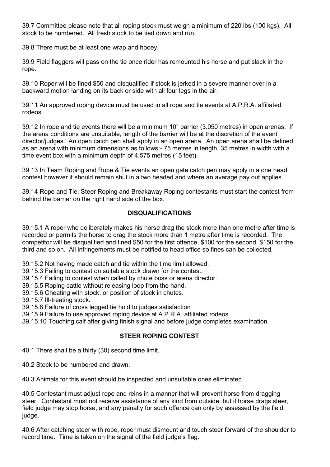39.7 Committee please note that all roping stock must weigh a minimum of 220 lbs (100 kgs). All stock to be numbered. All fresh stock to be tied down and run.

39.8 There must be at least one wrap and hooey.

39.9 Field flaggers will pass on the tie once rider has remounted his horse and put slack in the rope.

39.10 Roper will be fined \$50 and disqualified if stock is jerked in a severe manner over in a backward motion landing on its back or side with all four legs in the air.

39.11 An approved roping device must be used in all rope and tie events at A.P.R.A. affiliated rodeos.

39.12 In rope and tie events there will be a minimum 10" barrier (3.050 metres) in open arenas. If the arena conditions are unsuitable, length of the barrier will be at the discretion of the event director/judges. An open catch pen shall apply in an open arena. An open arena shall be defined as an arena with minimum dimensions as follows:- 75 metres in length, 35 metres in width with a time event box with a minimum depth of 4.575 metres (15 feet).

39.13 In Team Roping and Rope & Tie events an open gate catch pen may apply in a one head contest however it should remain shut in a two headed and where an average pay out applies.

39.14 Rope and Tie, Steer Roping and Breakaway Roping contestants must start the contest from behind the barrier on the right hand side of the box.

## **DISQUALIFICATIONS**

39.15.1 A roper who deliberately makes his horse drag the stock more than one metre after time is recorded or permits the horse to drag the stock more than 1 metre after time is recorded. The competitor will be disqualified and fined \$50 for the first offence, \$100 for the second, \$150 for the third and so on. All infringements must be notified to head office so fines can be collected.

39.15.2 Not having made catch and tie within the time limit allowed.

39.15.3 Failing to contest on suitable stock drawn for the contest.

39.15.4 Failing to contest when called by chute boss or arena director.

39.15.5 Roping cattle without releasing loop from the hand.

39.15.6 Cheating with stock, or position of stock in chutes.

39.15.7 Ill-treating stock.

39.15.8 Failure of cross legged tie hold to judges satisfaction

39.15.9 Failure to use approved roping device at A.P.R.A. affiliated rodeos

<span id="page-35-0"></span>39.15.10 Touching calf after giving finish signal and before judge completes examination.

# **STEER ROPING CONTEST**

40.1 There shall be a thirty (30) second time limit.

40.2 Stock to be numbered and drawn.

40.3 Animals for this event should be inspected and unsuitable ones eliminated.

40.5 Contestant must adjust rope and reins in a manner that will prevent horse from dragging steer. Contestant must not receive assistance of any kind from outside, but if horse drags steer, field judge may stop horse, and any penalty for such offence can only by assessed by the field judge.

40.6 After catching steer with rope, roper must dismount and touch steer forward of the shoulder to record time. Time is taken on the signal of the field judge's flag.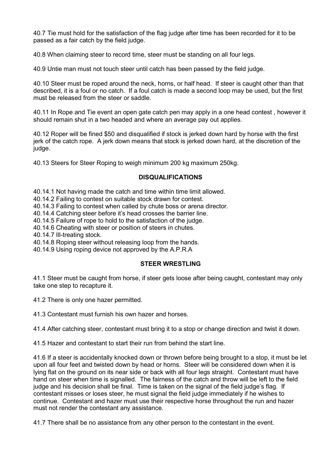40.7 Tie must hold for the satisfaction of the flag judge after time has been recorded for it to be passed as a fair catch by the field judge.

40.8 When claiming steer to record time, steer must be standing on all four legs.

40.9 Untie man must not touch steer until catch has been passed by the field judge.

40.10 Steer must be roped around the neck, horns, or half head. If steer is caught other than that described, it is a foul or no catch. If a foul catch is made a second loop may be used, but the first must be released from the steer or saddle.

40.11 In Rope and Tie event an open gate catch pen may apply in a one head contest , however it should remain shut in a two headed and where an average pay out applies.

40.12 Roper will be fined \$50 and disqualified if stock is jerked down hard by horse with the first jerk of the catch rope. A jerk down means that stock is jerked down hard, at the discretion of the judge.

40.13 Steers for Steer Roping to weigh minimum 200 kg maximum 250kg.

#### **DISQUALIFICATIONS**

40.14.1 Not having made the catch and time within time limit allowed.

40.14.2 Failing to contest on suitable stock drawn for contest.

40.14.3 Failing to contest when called by chute boss or arena director.

40.14.4 Catching steer before it's head crosses the barrier line.

40.14.5 Failure of rope to hold to the satisfaction of the judge.

40.14.6 Cheating with steer or position of steers in chutes.

40.14.7 Ill-treating stock.

40.14.8 Roping steer without releasing loop from the hands.

<span id="page-36-0"></span>40.14.9 Using roping device not approved by the A.P.R.A

#### **STEER WRESTLING**

41.1 Steer must be caught from horse, if steer gets loose after being caught, contestant may only take one step to recapture it.

41.2 There is only one hazer permitted.

41.3 Contestant must furnish his own hazer and horses.

41.4 After catching steer, contestant must bring it to a stop or change direction and twist it down.

41.5 Hazer and contestant to start their run from behind the start line.

41.6 If a steer is accidentally knocked down or thrown before being brought to a stop, it must be let upon all four feet and twisted down by head or horns. Steer will be considered down when it is lying flat on the ground on its near side or back with all four legs straight. Contestant must have hand on steer when time is signalled. The fairness of the catch and throw will be left to the field judge and his decision shall be final. Time is taken on the signal of the field judge's flag. If contestant misses or loses steer, he must signal the field judge immediately if he wishes to continue. Contestant and hazer must use their respective horse throughout the run and hazer must not render the contestant any assistance.

41.7 There shall be no assistance from any other person to the contestant in the event.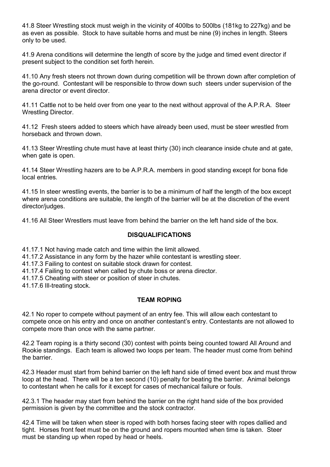41.8 Steer Wrestling stock must weigh in the vicinity of 400lbs to 500lbs (181kg to 227kg) and be as even as possible. Stock to have suitable horns and must be nine (9) inches in length. Steers only to be used.

41.9 Arena conditions will determine the length of score by the judge and timed event director if present subject to the condition set forth herein.

41.10 Any fresh steers not thrown down during competition will be thrown down after completion of the go-round. Contestant will be responsible to throw down such steers under supervision of the arena director or event director.

41.11 Cattle not to be held over from one year to the next without approval of the A.P.R.A. Steer Wrestling Director.

41.12 Fresh steers added to steers which have already been used, must be steer wrestled from horseback and thrown down.

41.13 Steer Wrestling chute must have at least thirty (30) inch clearance inside chute and at gate, when gate is open.

41.14 Steer Wrestling hazers are to be A.P.R.A. members in good standing except for bona fide local entries.

41.15 In steer wrestling events, the barrier is to be a minimum of half the length of the box except where arena conditions are suitable, the length of the barrier will be at the discretion of the event director/judges.

41.16 All Steer Wrestlers must leave from behind the barrier on the left hand side of the box.

#### **DISQUALIFICATIONS**

41.17.1 Not having made catch and time within the limit allowed.

41.17.2 Assistance in any form by the hazer while contestant is wrestling steer.

41.17.3 Failing to contest on suitable stock drawn for contest.

41.17.4 Failing to contest when called by chute boss or arena director.

41.17.5 Cheating with steer or position of steer in chutes.

41.17.6 Ill-treating stock.

## **TEAM ROPING**

<span id="page-37-0"></span>42.1 No roper to compete without payment of an entry fee. This will allow each contestant to compete once on his entry and once on another contestant's entry. Contestants are not allowed to compete more than once with the same partner.

42.2 Team roping is a thirty second (30) contest with points being counted toward All Around and Rookie standings. Each team is allowed two loops per team. The header must come from behind the barrier.

42.3 Header must start from behind barrier on the left hand side of timed event box and must throw loop at the head. There will be a ten second (10) penalty for beating the barrier. Animal belongs to contestant when he calls for it except for cases of mechanical failure or fouls.

42.3.1 The header may start from behind the barrier on the right hand side of the box provided permission is given by the committee and the stock contractor.

42.4 Time will be taken when steer is roped with both horses facing steer with ropes dallied and tight. Horses front feet must be on the ground and ropers mounted when time is taken. Steer must be standing up when roped by head or heels.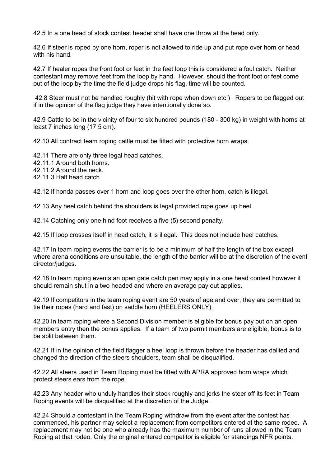42.5 In a one head of stock contest header shall have one throw at the head only.

42.6 If steer is roped by one horn, roper is not allowed to ride up and put rope over horn or head with his hand.

42.7 If healer ropes the front foot or feet in the feet loop this is considered a foul catch. Neither contestant may remove feet from the loop by hand. However, should the front foot or feet come out of the loop by the time the field judge drops his flag, time will be counted.

42.8 Steer must not be handled roughly (hit with rope when down etc.) Ropers to be flagged out if in the opinion of the flag judge they have intentionally done so.

42.9 Cattle to be in the vicinity of four to six hundred pounds (180 - 300 kg) in weight with horns at least 7 inches long (17.5 cm).

42.10 All contract team roping cattle must be fitted with protective horn wraps.

42.11 There are only three legal head catches.

42.11.1 Around both horns.

42.11.2 Around the neck.

42.11.3 Half head catch.

42.12 If honda passes over 1 horn and loop goes over the other horn, catch is illegal.

42.13 Any heel catch behind the shoulders is legal provided rope goes up heel.

42.14 Catching only one hind foot receives a five (5) second penalty.

42.15 If loop crosses itself in head catch, it is illegal. This does not include heel catches.

42.17 In team roping events the barrier is to be a minimum of half the length of the box except where arena conditions are unsuitable, the length of the barrier will be at the discretion of the event director/judges.

42.18 In team roping events an open gate catch pen may apply in a one head contest however it should remain shut in a two headed and where an average pay out applies.

42.19 If competitors in the team roping event are 50 years of age and over, they are permitted to tie their ropes (hard and fast) on saddle horn (HEELERS ONLY).

42.20 In team roping where a Second Division member is eligible for bonus pay out on an open members entry then the bonus applies. If a team of two permit members are eligible, bonus is to be split between them.

42.21 If in the opinion of the field flagger a heel loop is thrown before the header has dallied and changed the direction of the steers shoulders, team shall be disqualified.

42.22 All steers used in Team Roping must be fitted with APRA approved horn wraps which protect steers ears from the rope.

42.23 Any header who unduly handles their stock roughly and jerks the steer off its feet in Team Roping events will be disqualified at the discretion of the Judge.

42.24 Should a contestant in the Team Roping withdraw from the event after the contest has commenced, his partner may select a replacement from competitors entered at the same rodeo. A replacement may not be one who already has the maximum number of runs allowed in the Team Roping at that rodeo. Only the original entered competitor is eligible for standings NFR points.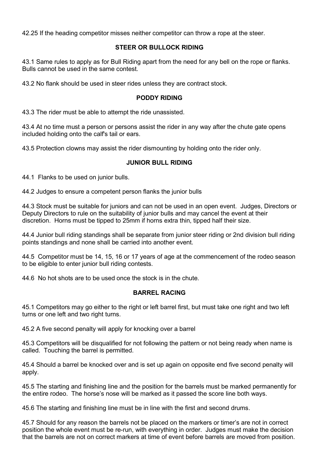42.25 If the heading competitor misses neither competitor can throw a rope at the steer.

#### **STEER OR BULLOCK RIDING**

<span id="page-39-0"></span>43.1 Same rules to apply as for Bull Riding apart from the need for any bell on the rope or flanks. Bulls cannot be used in the same contest.

<span id="page-39-1"></span>43.2 No flank should be used in steer rides unless they are contract stock.

# **PODDY RIDING**

43.3 The rider must be able to attempt the ride unassisted.

43.4 At no time must a person or persons assist the rider in any way after the chute gate opens included holding onto the calf's tail or ears.

<span id="page-39-2"></span>43.5 Protection clowns may assist the rider dismounting by holding onto the rider only.

# **JUNIOR BULL RIDING**

44.1 Flanks to be used on junior bulls.

44.2 Judges to ensure a competent person flanks the junior bulls

44.3 Stock must be suitable for juniors and can not be used in an open event. Judges, Directors or Deputy Directors to rule on the suitability of junior bulls and may cancel the event at their discretion. Horns must be tipped to 25mm if horns extra thin, tipped half their size.

44.4 Junior bull riding standings shall be separate from junior steer riding or 2nd division bull riding points standings and none shall be carried into another event.

44.5 Competitor must be 14, 15, 16 or 17 years of age at the commencement of the rodeo season to be eligible to enter junior bull riding contests.

<span id="page-39-3"></span>44.6 No hot shots are to be used once the stock is in the chute.

#### **BARREL RACING**

45.1 Competitors may go either to the right or left barrel first, but must take one right and two left turns or one left and two right turns.

45.2 A five second penalty will apply for knocking over a barrel

45.3 Competitors will be disqualified for not following the pattern or not being ready when name is called. Touching the barrel is permitted.

45.4 Should a barrel be knocked over and is set up again on opposite end five second penalty will apply.

45.5 The starting and finishing line and the position for the barrels must be marked permanently for the entire rodeo. The horse's nose will be marked as it passed the score line both ways.

45.6 The starting and finishing line must be in line with the first and second drums.

45.7 Should for any reason the barrels not be placed on the markers or timer's are not in correct position the whole event must be re-run, with everything in order. Judges must make the decision that the barrels are not on correct markers at time of event before barrels are moved from position.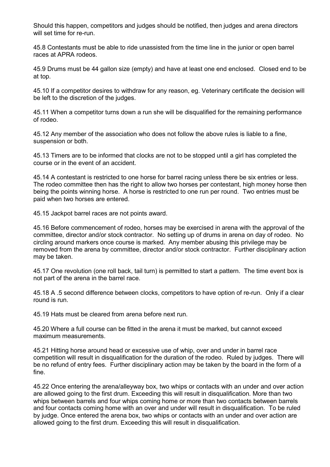Should this happen, competitors and judges should be notified, then judges and arena directors will set time for re-run.

45.8 Contestants must be able to ride unassisted from the time line in the junior or open barrel races at APRA rodeos.

45.9 Drums must be 44 gallon size (empty) and have at least one end enclosed. Closed end to be at top.

45.10 If a competitor desires to withdraw for any reason, eg. Veterinary certificate the decision will be left to the discretion of the judges.

45.11 When a competitor turns down a run she will be disqualified for the remaining performance of rodeo.

45.12 Any member of the association who does not follow the above rules is liable to a fine, suspension or both.

45.13 Timers are to be informed that clocks are not to be stopped until a girl has completed the course or in the event of an accident.

45.14 A contestant is restricted to one horse for barrel racing unless there be six entries or less. The rodeo committee then has the right to allow two horses per contestant, high money horse then being the points winning horse. A horse is restricted to one run per round. Two entries must be paid when two horses are entered.

45.15 Jackpot barrel races are not points award.

45.16 Before commencement of rodeo, horses may be exercised in arena with the approval of the committee, director and/or stock contractor. No setting up of drums in arena on day of rodeo. No circling around markers once course is marked. Any member abusing this privilege may be removed from the arena by committee, director and/or stock contractor. Further disciplinary action may be taken.

45.17 One revolution (one roll back, tail turn) is permitted to start a pattern. The time event box is not part of the arena in the barrel race.

45.18 A .5 second difference between clocks, competitors to have option of re-run. Only if a clear round is run.

45.19 Hats must be cleared from arena before next run.

45.20 Where a full course can be fitted in the arena it must be marked, but cannot exceed maximum measurements.

45.21 Hitting horse around head or excessive use of whip, over and under in barrel race competition will result in disqualification for the duration of the rodeo. Ruled by judges. There will be no refund of entry fees. Further disciplinary action may be taken by the board in the form of a fine.

45.22 Once entering the arena/alleyway box, two whips or contacts with an under and over action are allowed going to the first drum. Exceeding this will result in disqualification. More than two whips between barrels and four whips coming home or more than two contacts between barrels and four contacts coming home with an over and under will result in disqualification. To be ruled by judge. Once entered the arena box, two whips or contacts with an under and over action are allowed going to the first drum. Exceeding this will result in disqualification.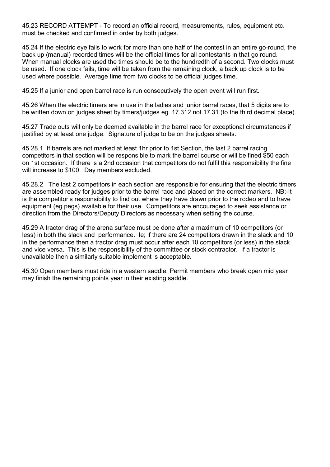45.23 RECORD ATTEMPT - To record an official record, measurements, rules, equipment etc. must be checked and confirmed in order by both judges.

45.24 If the electric eye fails to work for more than one half of the contest in an entire go-round, the back up (manual) recorded times will be the official times for all contestants in that go round. When manual clocks are used the times should be to the hundredth of a second. Two clocks must be used. If one clock fails, time will be taken from the remaining clock, a back up clock is to be used where possible. Average time from two clocks to be official judges time.

45.25 If a junior and open barrel race is run consecutively the open event will run first.

45.26 When the electric timers are in use in the ladies and junior barrel races, that 5 digits are to be written down on judges sheet by timers/judges eg. 17.312 not 17.31 (to the third decimal place).

45.27 Trade outs will only be deemed available in the barrel race for exceptional circumstances if justified by at least one judge. Signature of judge to be on the judges sheets.

45.28.1 If barrels are not marked at least 1hr prior to 1st Section, the last 2 barrel racing competitors in that section will be responsible to mark the barrel course or will be fined \$50 each on 1st occasion. If there is a 2nd occasion that competitors do not fulfil this responsibility the fine will increase to \$100. Day members excluded.

45.28.2 The last 2 competitors in each section are responsible for ensuring that the electric timers are assembled ready for judges prior to the barrel race and placed on the correct markers. NB:-It is the competitor's responsibility to find out where they have drawn prior to the rodeo and to have equipment (eg pegs) available for their use. Competitors are encouraged to seek assistance or direction from the Directors/Deputy Directors as necessary when setting the course.

45.29 A tractor drag of the arena surface must be done after a maximum of 10 competitors (or less) in both the slack and performance. Ie; if there are 24 competitors drawn in the slack and 10 in the performance then a tractor drag must occur after each 10 competitors (or less) in the slack and vice versa. This is the responsibility of the committee or stock contractor. If a tractor is unavailable then a similarly suitable implement is acceptable.

45.30 Open members must ride in a western saddle. Permit members who break open mid year may finish the remaining points year in their existing saddle.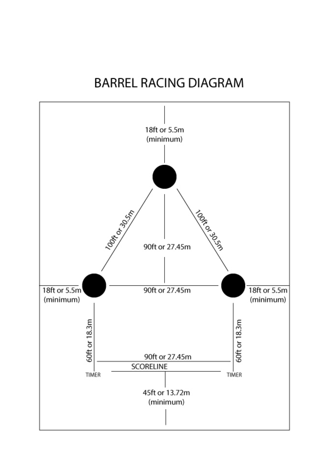# **BARREL RACING DIAGRAM**

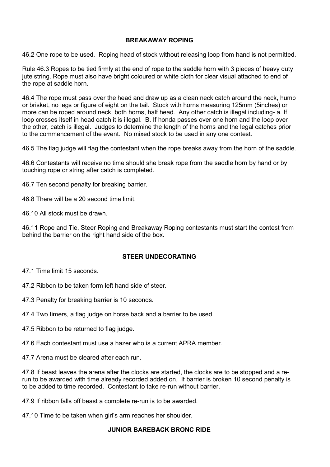# **BREAKAWAY ROPING**

<span id="page-43-0"></span>46.2 One rope to be used. Roping head of stock without releasing loop from hand is not permitted.

Rule 46.3 Ropes to be tied firmly at the end of rope to the saddle horn with 3 pieces of heavy duty jute string. Rope must also have bright coloured or white cloth for clear visual attached to end of the rope at saddle horn.

46.4 The rope must pass over the head and draw up as a clean neck catch around the neck, hump or brisket, no legs or figure of eight on the tail. Stock with horns measuring 125mm (5inches) or more can be roped around neck, both horns, half head. Any other catch is illegal including- a. If loop crosses itself in head catch it is illegal. B. If honda passes over one horn and the loop over the other, catch is illegal. Judges to determine the length of the horns and the legal catches prior to the commencement of the event. No mixed stock to be used in any one contest.

46.5 The flag judge will flag the contestant when the rope breaks away from the horn of the saddle.

46.6 Contestants will receive no time should she break rope from the saddle horn by hand or by touching rope or string after catch is completed.

46.7 Ten second penalty for breaking barrier.

46.8 There will be a 20 second time limit.

46.10 All stock must be drawn.

46.11 Rope and Tie, Steer Roping and Breakaway Roping contestants must start the contest from behind the barrier on the right hand side of the box.

# **STEER UNDECORATING**

<span id="page-43-1"></span>47.1 Time limit 15 seconds.

47.2 Ribbon to be taken form left hand side of steer.

47.3 Penalty for breaking barrier is 10 seconds.

47.4 Two timers, a flag judge on horse back and a barrier to be used.

47.5 Ribbon to be returned to flag judge.

47.6 Each contestant must use a hazer who is a current APRA member.

47.7 Arena must be cleared after each run.

47.8 If beast leaves the arena after the clocks are started, the clocks are to be stopped and a rerun to be awarded with time already recorded added on. If barrier is broken 10 second penalty is to be added to time recorded. Contestant to take re-run without barrier.

47.9 If ribbon falls off beast a complete re-run is to be awarded.

<span id="page-43-2"></span>47.10 Time to be taken when girl's arm reaches her shoulder.

#### **JUNIOR BAREBACK BRONC RIDE**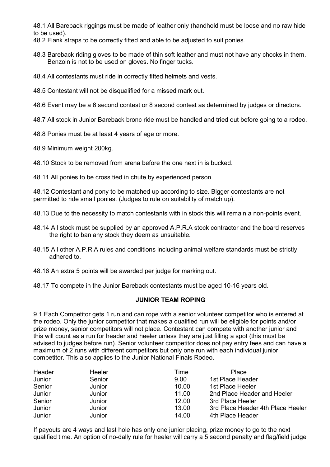48.1 All Bareback riggings must be made of leather only (handhold must be loose and no raw hide to be used).

48.2 Flank straps to be correctly fitted and able to be adjusted to suit ponies.

- 48.3 Bareback riding gloves to be made of thin soft leather and must not have any chocks in them. Benzoin is not to be used on gloves. No finger tucks.
- 48.4 All contestants must ride in correctly fitted helmets and vests.
- 48.5 Contestant will not be disqualified for a missed mark out.
- 48.6 Event may be a 6 second contest or 8 second contest as determined by judges or directors.
- 48.7 All stock in Junior Bareback bronc ride must be handled and tried out before going to a rodeo.
- 48.8 Ponies must be at least 4 years of age or more.
- 48.9 Minimum weight 200kg.
- 48.10 Stock to be removed from arena before the one next in is bucked.

48.11 All ponies to be cross tied in chute by experienced person.

48.12 Contestant and pony to be matched up according to size. Bigger contestants are not permitted to ride small ponies. (Judges to rule on suitability of match up).

- 48.13 Due to the necessity to match contestants with in stock this will remain a non-points event.
- 48.14 All stock must be supplied by an approved A.P.R.A stock contractor and the board reserves the right to ban any stock they deem as unsuitable.
- 48.15 All other A.P.R.A rules and conditions including animal welfare standards must be strictly adhered to.
- 48.16 An extra 5 points will be awarded per judge for marking out.
- 48.17 To compete in the Junior Bareback contestants must be aged 10-16 years old.

#### **JUNIOR TEAM ROPING**

<span id="page-44-0"></span>9.1 Each Competitor gets 1 run and can rope with a senior volunteer competitor who is entered at the rodeo. Only the junior competitor that makes a qualified run will be eligible for points and/or prize money, senior competitors will not place. Contestant can compete with another junior and this will count as a run for header and heeler unless they are just filling a spot (this must be advised to judges before run). Senior volunteer competitor does not pay entry fees and can have a maximum of 2 runs with different competitors but only one run with each individual junior competitor. This also applies to the Junior National Finals Rodeo.

| Header | Heeler | Time  | Place                             |
|--------|--------|-------|-----------------------------------|
| Junior | Senior | 9.00  | 1st Place Header                  |
| Senior | Junior | 10.00 | 1st Place Heeler                  |
| Junior | Junior | 11.00 | 2nd Place Header and Heeler       |
| Senior | Junior | 12.00 | 3rd Place Heeler                  |
| Junior | Junior | 13.00 | 3rd Place Header 4th Place Heeler |
| Junior | Junior | 14.00 | 4th Place Header                  |

If payouts are 4 ways and last hole has only one junior placing, prize money to go to the next qualified time. An option of no-dally rule for heeler will carry a 5 second penalty and flag/field judge